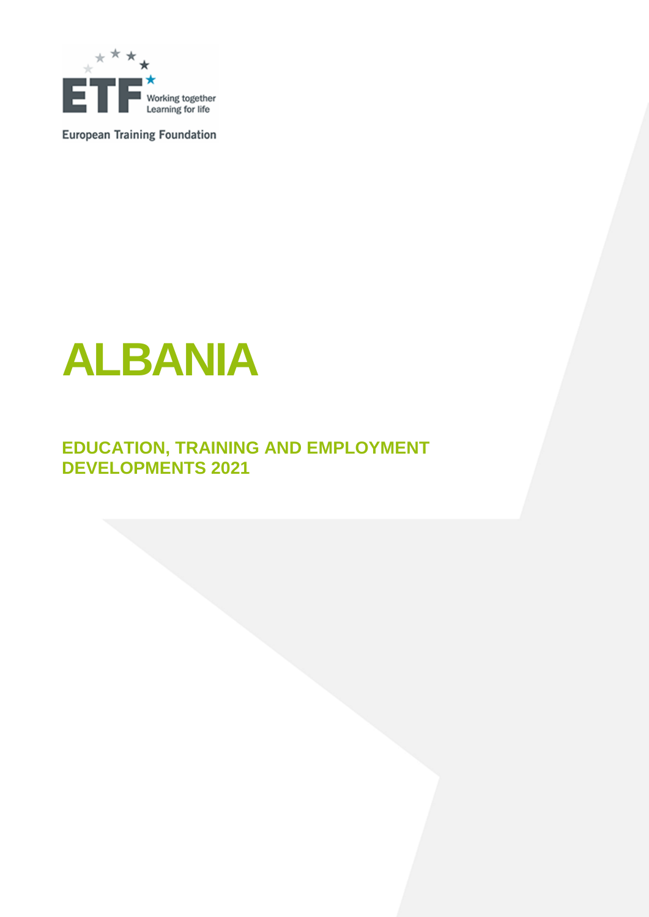

**European Training Foundation** 



# **EDUCATION, TRAINING AND EMPLOYMENT DEVELOPMENTS 2021**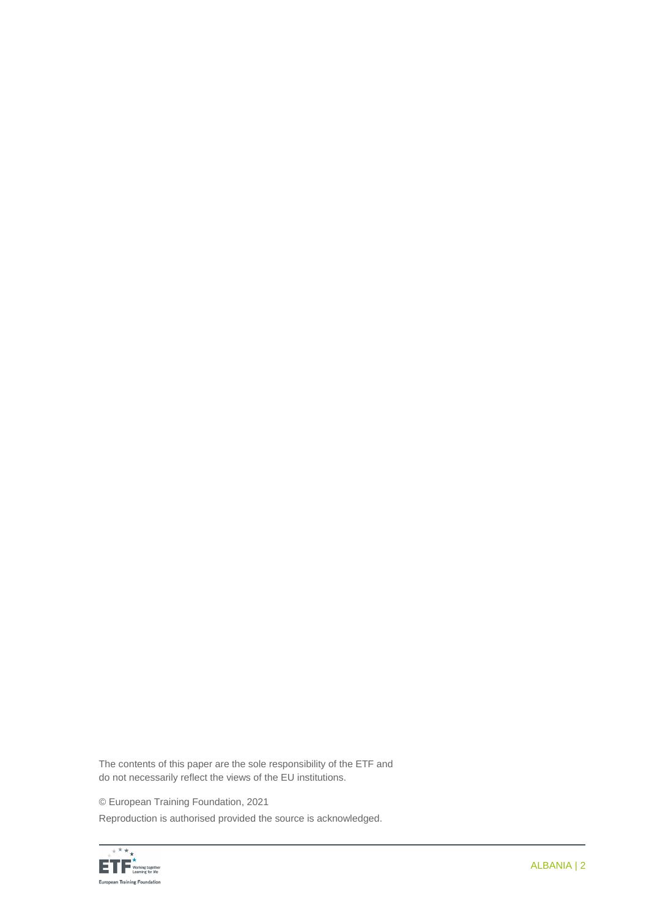The contents of this paper are the sole responsibility of the ETF and do not necessarily reflect the views of the EU institutions.

© European Training Foundation, 2021

Reproduction is authorised provided the source is acknowledged.

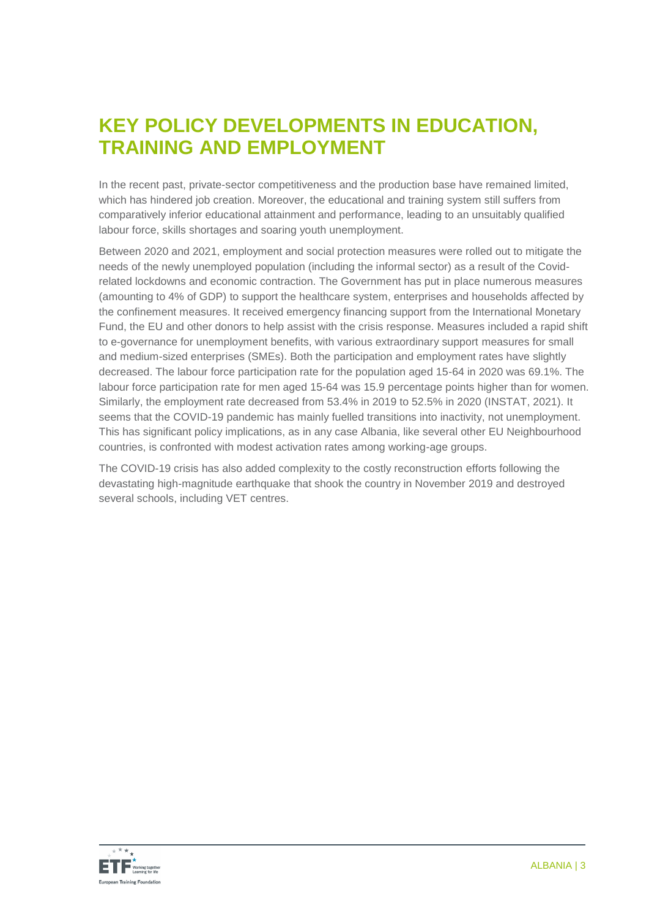# **KEY POLICY DEVELOPMENTS IN EDUCATION, TRAINING AND EMPLOYMENT**

In the recent past, private-sector competitiveness and the production base have remained limited, which has hindered job creation. Moreover, the educational and training system still suffers from comparatively inferior educational attainment and performance, leading to an unsuitably qualified labour force, skills shortages and soaring youth unemployment.

Between 2020 and 2021, employment and social protection measures were rolled out to mitigate the needs of the newly unemployed population (including the informal sector) as a result of the Covidrelated lockdowns and economic contraction. The Government has put in place numerous measures (amounting to 4% of GDP) to support the healthcare system, enterprises and households affected by the confinement measures. It received emergency financing support from the International Monetary Fund, the EU and other donors to help assist with the crisis response. Measures included a rapid shift to e-governance for unemployment benefits, with various extraordinary support measures for small and medium-sized enterprises (SMEs). Both the participation and employment rates have slightly decreased. The labour force participation rate for the population aged 15-64 in 2020 was 69.1%. The labour force participation rate for men aged 15-64 was 15.9 percentage points higher than for women. Similarly, the employment rate decreased from 53.4% in 2019 to 52.5% in 2020 (INSTAT, 2021). It seems that the COVID-19 pandemic has mainly fuelled transitions into inactivity, not unemployment. This has significant policy implications, as in any case Albania, like several other EU Neighbourhood countries, is confronted with modest activation rates among working-age groups.

The COVID-19 crisis has also added complexity to the costly reconstruction efforts following the devastating high-magnitude earthquake that shook the country in November 2019 and destroyed several schools, including VET centres.

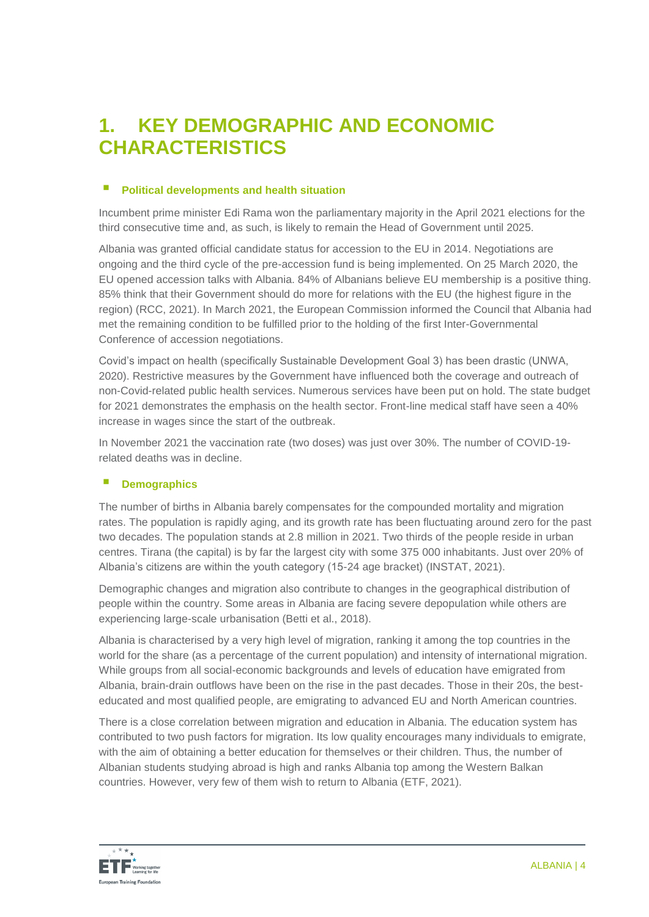# **1. KEY DEMOGRAPHIC AND ECONOMIC CHARACTERISTICS**

### **Political developments and health situation**

Incumbent prime minister Edi Rama won the parliamentary majority in the April 2021 elections for the third consecutive time and, as such, is likely to remain the Head of Government until 2025.

Albania was granted official candidate status for accession to the EU in 2014. Negotiations are ongoing and the third cycle of the pre-accession fund is being implemented. On 25 March 2020, the EU opened accession talks with Albania. 84% of Albanians believe EU membership is a positive thing. 85% think that their Government should do more for relations with the EU (the highest figure in the region) (RCC, 2021). In March 2021, the European Commission informed the Council that Albania had met the remaining condition to be fulfilled prior to the holding of the first Inter-Governmental Conference of accession negotiations.

Covid's impact on health (specifically Sustainable Development Goal 3) has been drastic (UNWA, 2020). Restrictive measures by the Government have influenced both the coverage and outreach of non-Covid-related public health services. Numerous services have been put on hold. The state budget for 2021 demonstrates the emphasis on the health sector. Front-line medical staff have seen a 40% increase in wages since the start of the outbreak.

In November 2021 the vaccination rate (two doses) was just over 30%. The number of COVID-19 related deaths was in decline.

# **Demographics**

The number of births in Albania barely compensates for the compounded mortality and migration rates. The population is rapidly aging, and its growth rate has been fluctuating around zero for the past two decades. The population stands at 2.8 million in 2021. Two thirds of the people reside in urban centres. Tirana (the capital) is by far the largest city with some 375 000 inhabitants. Just over 20% of Albania's citizens are within the youth category (15-24 age bracket) (INSTAT, 2021).

Demographic changes and migration also contribute to changes in the geographical distribution of people within the country. Some areas in Albania are facing severe depopulation while others are experiencing large-scale urbanisation (Betti et al., 2018).

Albania is characterised by a very high level of migration, ranking it among the top countries in the world for the share (as a percentage of the current population) and intensity of international migration. While groups from all social-economic backgrounds and levels of education have emigrated from Albania, brain-drain outflows have been on the rise in the past decades. Those in their 20s, the besteducated and most qualified people, are emigrating to advanced EU and North American countries.

There is a close correlation between migration and education in Albania. The education system has contributed to two push factors for migration. Its low quality encourages many individuals to emigrate, with the aim of obtaining a better education for themselves or their children. Thus, the number of Albanian students studying abroad is high and ranks Albania top among the Western Balkan countries. However, very few of them wish to return to Albania (ETF, 2021).

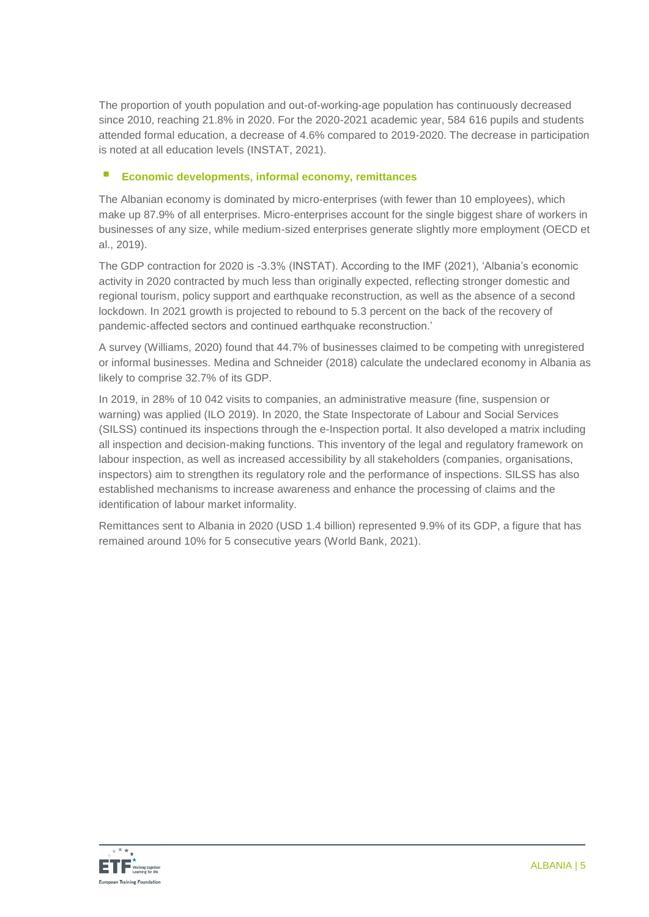The proportion of youth population and out-of-working-age population has continuously decreased since 2010, reaching 21.8% in 2020. For the 2020-2021 academic year, 584 616 pupils and students attended formal education, a decrease of 4.6% compared to 2019-2020. The decrease in participation is noted at all education levels (INSTAT, 2021).

# **Economic developments, informal economy, remittances**

The Albanian economy is dominated by micro-enterprises (with fewer than 10 employees), which make up 87.9% of all enterprises. Micro-enterprises account for the single biggest share of workers in businesses of any size, while medium-sized enterprises generate slightly more employment (OECD et al., 2019).

The GDP contraction for 2020 is -3.3% (INSTAT). According to the IMF (2021), 'Albania's economic activity in 2020 contracted by much less than originally expected, reflecting stronger domestic and regional tourism, policy support and earthquake reconstruction, as well as the absence of a second lockdown. In 2021 growth is projected to rebound to 5.3 percent on the back of the recovery of pandemic-affected sectors and continued earthquake reconstruction.'

A survey (Williams, 2020) found that 44.7% of businesses claimed to be competing with unregistered or informal businesses. Medina and Schneider (2018) calculate the undeclared economy in Albania as likely to comprise 32.7% of its GDP.

In 2019, in 28% of 10 042 visits to companies, an administrative measure (fine, suspension or warning) was applied (ILO 2019). In 2020, the State Inspectorate of Labour and Social Services (SILSS) continued its inspections through the e-Inspection portal. It also developed a matrix including all inspection and decision-making functions. This inventory of the legal and regulatory framework on labour inspection, as well as increased accessibility by all stakeholders (companies, organisations, inspectors) aim to strengthen its regulatory role and the performance of inspections. SILSS has also established mechanisms to increase awareness and enhance the processing of claims and the identification of labour market informality.

Remittances sent to Albania in 2020 (USD 1.4 billion) represented 9.9% of its GDP, a figure that has remained around 10% for 5 consecutive years (World Bank, 2021).

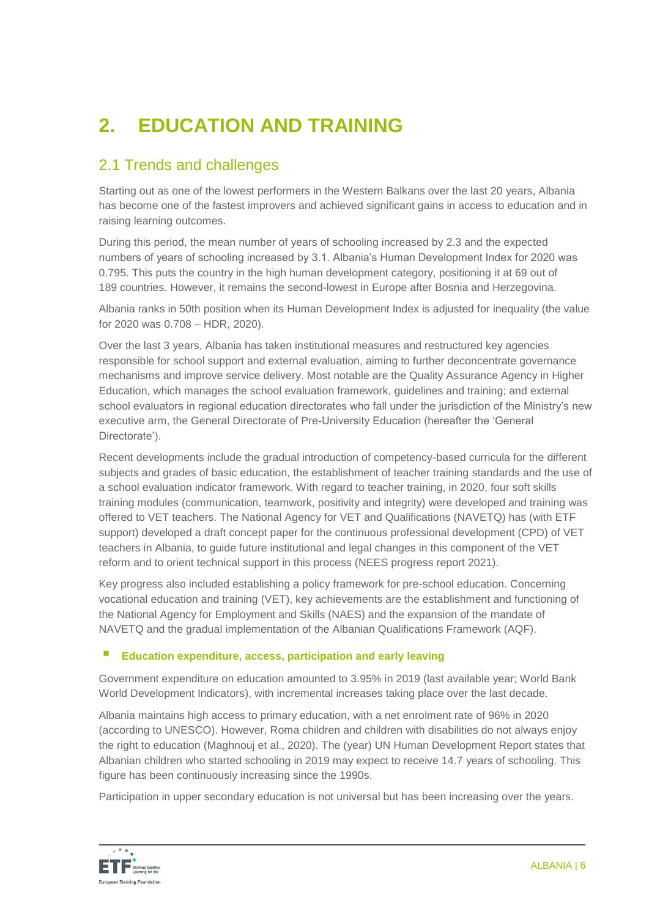# **2. EDUCATION AND TRAINING**

# 2.1 Trends and challenges

Starting out as one of the lowest performers in the Western Balkans over the last 20 years, Albania has become one of the fastest improvers and achieved significant gains in access to education and in raising learning outcomes.

During this period, the mean number of years of schooling increased by 2.3 and the expected numbers of years of schooling increased by 3.1. Albania's Human Development Index for 2020 was 0.795. This puts the country in the high human development category, positioning it at 69 out of 189 countries. However, it remains the second-lowest in Europe after Bosnia and Herzegovina.

Albania ranks in 50th position when its Human Development Index is adjusted for inequality (the value for 2020 was 0.708 – HDR, 2020).

Over the last 3 years, Albania has taken institutional measures and restructured key agencies responsible for school support and external evaluation, aiming to further deconcentrate governance mechanisms and improve service delivery. Most notable are the Quality Assurance Agency in Higher Education, which manages the school evaluation framework, guidelines and training; and external school evaluators in regional education directorates who fall under the jurisdiction of the Ministry's new executive arm, the General Directorate of Pre-University Education (hereafter the 'General Directorate').

Recent developments include the gradual introduction of competency-based curricula for the different subjects and grades of basic education, the establishment of teacher training standards and the use of a school evaluation indicator framework. With regard to teacher training, in 2020, four soft skills training modules (communication, teamwork, positivity and integrity) were developed and training was offered to VET teachers. The National Agency for VET and Qualifications (NAVETQ) has (with ETF support) developed a draft concept paper for the continuous professional development (CPD) of VET teachers in Albania, to guide future institutional and legal changes in this component of the VET reform and to orient technical support in this process (NEES progress report 2021).

Key progress also included establishing a policy framework for pre-school education. Concerning vocational education and training (VET), key achievements are the establishment and functioning of the National Agency for Employment and Skills (NAES) and the expansion of the mandate of NAVETQ and the gradual implementation of the Albanian Qualifications Framework (AQF).

# **Education expenditure, access, participation and early leaving**

Government expenditure on education amounted to 3.95% in 2019 (last available year; World Bank World Development Indicators), with incremental increases taking place over the last decade.

Albania maintains high access to primary education, with a net enrolment rate of 96% in 2020 (according to UNESCO). However, Roma children and children with disabilities do not always enjoy the right to education (Maghnouj et al., 2020). The (year) UN Human Development Report states that Albanian children who started schooling in 2019 may expect to receive 14.7 years of schooling. This figure has been continuously increasing since the 1990s.

Participation in upper secondary education is not universal but has been increasing over the years.

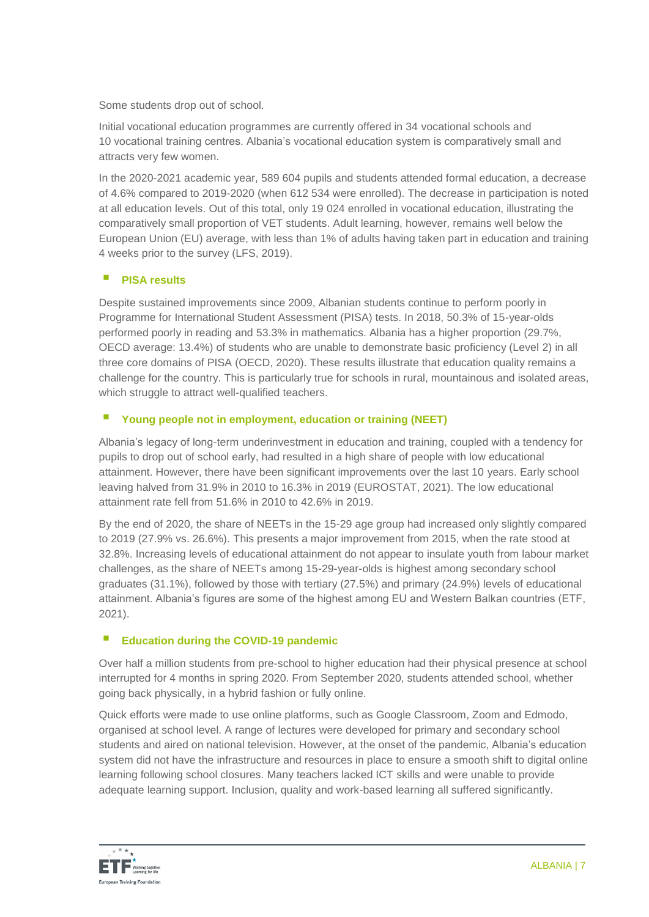Some students drop out of school.

Initial vocational education programmes are currently offered in 34 vocational schools and 10 vocational training centres. Albania's vocational education system is comparatively small and attracts very few women.

In the 2020-2021 academic year, 589 604 pupils and students attended formal education, a decrease of 4.6% compared to 2019-2020 (when 612 534 were enrolled). The decrease in participation is noted at all education levels. Out of this total, only 19 024 enrolled in vocational education, illustrating the comparatively small proportion of VET students. Adult learning, however, remains well below the European Union (EU) average, with less than 1% of adults having taken part in education and training 4 weeks prior to the survey (LFS, 2019).

# **PISA results**

Despite sustained improvements since 2009, Albanian students continue to perform poorly in Programme for International Student Assessment (PISA) tests. In 2018, 50.3% of 15-year-olds performed poorly in reading and 53.3% in mathematics. Albania has a higher proportion (29.7%, OECD average: 13.4%) of students who are unable to demonstrate basic proficiency (Level 2) in all three core domains of PISA (OECD, 2020). These results illustrate that education quality remains a challenge for the country. This is particularly true for schools in rural, mountainous and isolated areas, which struggle to attract well-qualified teachers.

# **Young people not in employment, education or training (NEET)**

Albania's legacy of long-term underinvestment in education and training, coupled with a tendency for pupils to drop out of school early, had resulted in a high share of people with low educational attainment. However, there have been significant improvements over the last 10 years. Early school leaving halved from 31.9% in 2010 to 16.3% in 2019 (EUROSTAT, 2021). The low educational attainment rate fell from 51.6% in 2010 to 42.6% in 2019.

By the end of 2020, the share of NEETs in the 15-29 age group had increased only slightly compared to 2019 (27.9% vs. 26.6%). This presents a major improvement from 2015, when the rate stood at 32.8%. Increasing levels of educational attainment do not appear to insulate youth from labour market challenges, as the share of NEETs among 15-29-year-olds is highest among secondary school graduates (31.1%), followed by those with tertiary (27.5%) and primary (24.9%) levels of educational attainment. Albania's figures are some of the highest among EU and Western Balkan countries (ETF, 2021).

# **Education during the COVID-19 pandemic**

Over half a million students from pre-school to higher education had their physical presence at school interrupted for 4 months in spring 2020. From September 2020, students attended school, whether going back physically, in a hybrid fashion or fully online.

Quick efforts were made to use online platforms, such as Google Classroom, Zoom and Edmodo, organised at school level. A range of lectures were developed for primary and secondary school students and aired on national television. However, at the onset of the pandemic, Albania's education system did not have the infrastructure and resources in place to ensure a smooth shift to digital online learning following school closures. Many teachers lacked ICT skills and were unable to provide adequate learning support. Inclusion, quality and work-based learning all suffered significantly.

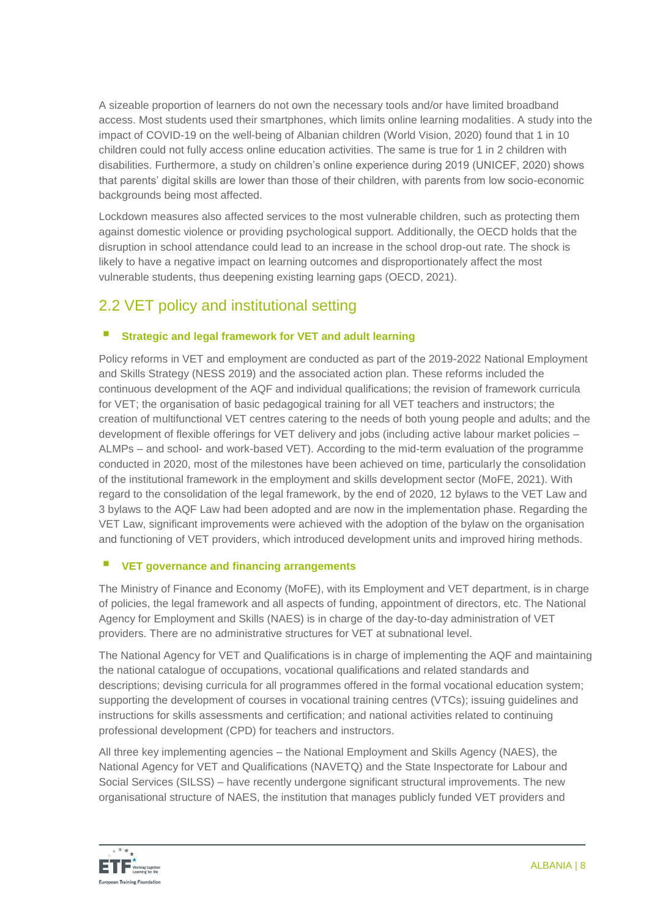A sizeable proportion of learners do not own the necessary tools and/or have limited broadband access. Most students used their smartphones, which limits online learning modalities. A study into the impact of COVID-19 on the well-being of Albanian children (World Vision, 2020) found that 1 in 10 children could not fully access online education activities. The same is true for 1 in 2 children with disabilities. Furthermore, a study on children's online experience during 2019 (UNICEF, 2020) shows that parents' digital skills are lower than those of their children, with parents from low socio-economic backgrounds being most affected.

Lockdown measures also affected services to the most vulnerable children, such as protecting them against domestic violence or providing psychological support. Additionally, the OECD holds that the disruption in school attendance could lead to an increase in the school drop-out rate. The shock is likely to have a negative impact on learning outcomes and disproportionately affect the most vulnerable students, thus deepening existing learning gaps (OECD, 2021).

# 2.2 VET policy and institutional setting

# **Strategic and legal framework for VET and adult learning**

Policy reforms in VET and employment are conducted as part of the 2019-2022 National Employment and Skills Strategy (NESS 2019) and the associated action plan. These reforms included the continuous development of the AQF and individual qualifications; the revision of framework curricula for VET; the organisation of basic pedagogical training for all VET teachers and instructors; the creation of multifunctional VET centres catering to the needs of both young people and adults; and the development of flexible offerings for VET delivery and jobs (including active labour market policies – ALMPs – and school- and work-based VET). According to the mid-term evaluation of the programme conducted in 2020, most of the milestones have been achieved on time, particularly the consolidation of the institutional framework in the employment and skills development sector (MoFE, 2021). With regard to the consolidation of the legal framework, by the end of 2020, 12 bylaws to the VET Law and 3 bylaws to the AQF Law had been adopted and are now in the implementation phase. Regarding the VET Law, significant improvements were achieved with the adoption of the bylaw on the organisation and functioning of VET providers, which introduced development units and improved hiring methods.

# **VET governance and financing arrangements**

The Ministry of Finance and Economy (MoFE), with its Employment and VET department, is in charge of policies, the legal framework and all aspects of funding, appointment of directors, etc. The National Agency for Employment and Skills (NAES) is in charge of the day-to-day administration of VET providers. There are no administrative structures for VET at subnational level.

The National Agency for VET and Qualifications is in charge of implementing the AQF and maintaining the national catalogue of occupations, vocational qualifications and related standards and descriptions; devising curricula for all programmes offered in the formal vocational education system; supporting the development of courses in vocational training centres (VTCs); issuing guidelines and instructions for skills assessments and certification; and national activities related to continuing professional development (CPD) for teachers and instructors.

All three key implementing agencies – the National Employment and Skills Agency (NAES), the National Agency for VET and Qualifications (NAVETQ) and the State Inspectorate for Labour and Social Services (SILSS) – have recently undergone significant structural improvements. The new organisational structure of NAES, the institution that manages publicly funded VET providers and

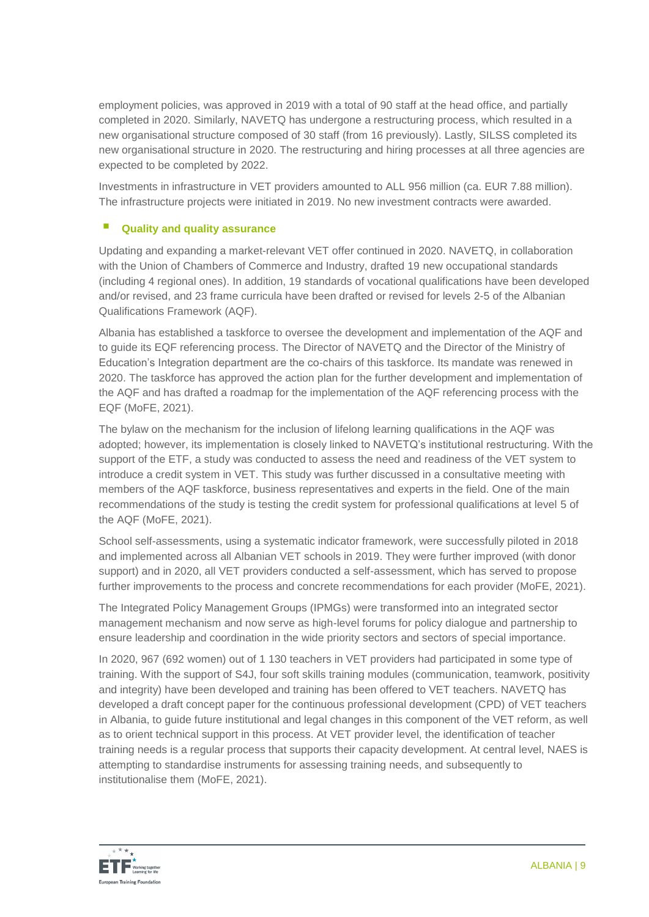employment policies, was approved in 2019 with a total of 90 staff at the head office, and partially completed in 2020. Similarly, NAVETQ has undergone a restructuring process, which resulted in a new organisational structure composed of 30 staff (from 16 previously). Lastly, SILSS completed its new organisational structure in 2020. The restructuring and hiring processes at all three agencies are expected to be completed by 2022.

Investments in infrastructure in VET providers amounted to ALL 956 million (ca. EUR 7.88 million). The infrastructure projects were initiated in 2019. No new investment contracts were awarded.

# **Quality and quality assurance**

Updating and expanding a market-relevant VET offer continued in 2020. NAVETQ, in collaboration with the Union of Chambers of Commerce and Industry, drafted 19 new occupational standards (including 4 regional ones). In addition, 19 standards of vocational qualifications have been developed and/or revised, and 23 frame curricula have been drafted or revised for levels 2-5 of the Albanian Qualifications Framework (AQF).

Albania has established a taskforce to oversee the development and implementation of the AQF and to guide its EQF referencing process. The Director of NAVETQ and the Director of the Ministry of Education's Integration department are the co-chairs of this taskforce. Its mandate was renewed in 2020. The taskforce has approved the action plan for the further development and implementation of the AQF and has drafted a roadmap for the implementation of the AQF referencing process with the EQF (MoFE, 2021).

The bylaw on the mechanism for the inclusion of lifelong learning qualifications in the AQF was adopted; however, its implementation is closely linked to NAVETQ's institutional restructuring. With the support of the ETF, a study was conducted to assess the need and readiness of the VET system to introduce a credit system in VET. This study was further discussed in a consultative meeting with members of the AQF taskforce, business representatives and experts in the field. One of the main recommendations of the study is testing the credit system for professional qualifications at level 5 of the AQF (MoFE, 2021).

School self-assessments, using a systematic indicator framework, were successfully piloted in 2018 and implemented across all Albanian VET schools in 2019. They were further improved (with donor support) and in 2020, all VET providers conducted a self-assessment, which has served to propose further improvements to the process and concrete recommendations for each provider (MoFE, 2021).

The Integrated Policy Management Groups (IPMGs) were transformed into an integrated sector management mechanism and now serve as high-level forums for policy dialogue and partnership to ensure leadership and coordination in the wide priority sectors and sectors of special importance.

In 2020, 967 (692 women) out of 1 130 teachers in VET providers had participated in some type of training. With the support of S4J, four soft skills training modules (communication, teamwork, positivity and integrity) have been developed and training has been offered to VET teachers. NAVETQ has developed a draft concept paper for the continuous professional development (CPD) of VET teachers in Albania, to guide future institutional and legal changes in this component of the VET reform, as well as to orient technical support in this process. At VET provider level, the identification of teacher training needs is a regular process that supports their capacity development. At central level, NAES is attempting to standardise instruments for assessing training needs, and subsequently to institutionalise them (MoFE, 2021).

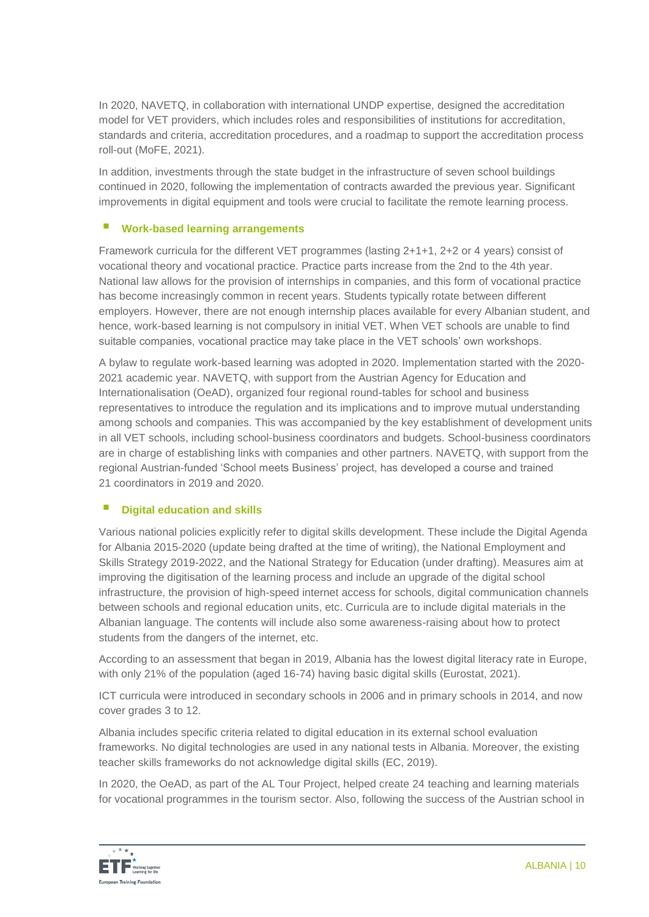In 2020, NAVETQ, in collaboration with international UNDP expertise, designed the accreditation model for VET providers, which includes roles and responsibilities of institutions for accreditation, standards and criteria, accreditation procedures, and a roadmap to support the accreditation process roll-out (MoFE, 2021).

In addition, investments through the state budget in the infrastructure of seven school buildings continued in 2020, following the implementation of contracts awarded the previous year. Significant improvements in digital equipment and tools were crucial to facilitate the remote learning process.

### **Work-based learning arrangements**

Framework curricula for the different VET programmes (lasting 2+1+1, 2+2 or 4 years) consist of vocational theory and vocational practice. Practice parts increase from the 2nd to the 4th year. National law allows for the provision of internships in companies, and this form of vocational practice has become increasingly common in recent years. Students typically rotate between different employers. However, there are not enough internship places available for every Albanian student, and hence, work-based learning is not compulsory in initial VET. When VET schools are unable to find suitable companies, vocational practice may take place in the VET schools' own workshops.

A bylaw to regulate work-based learning was adopted in 2020. Implementation started with the 2020- 2021 academic year. NAVETQ, with support from the Austrian Agency for Education and Internationalisation (OeAD), organized four regional round-tables for school and business representatives to introduce the regulation and its implications and to improve mutual understanding among schools and companies. This was accompanied by the key establishment of development units in all VET schools, including school-business coordinators and budgets. School-business coordinators are in charge of establishing links with companies and other partners. NAVETQ, with support from the regional Austrian-funded 'School meets Business' project, has developed a course and trained 21 coordinators in 2019 and 2020.

# **Digital education and skills**

Various national policies explicitly refer to digital skills development. These include the Digital Agenda for Albania 2015-2020 (update being drafted at the time of writing), the National Employment and Skills Strategy 2019-2022, and the National Strategy for Education (under drafting). Measures aim at improving the digitisation of the learning process and include an upgrade of the digital school infrastructure, the provision of high-speed internet access for schools, digital communication channels between schools and regional education units, etc. Curricula are to include digital materials in the Albanian language. The contents will include also some awareness-raising about how to protect students from the dangers of the internet, etc.

According to an assessment that began in 2019, Albania has the lowest digital literacy rate in Europe, with only 21% of the population (aged 16-74) having basic digital skills (Eurostat, 2021).

ICT curricula were introduced in secondary schools in 2006 and in primary schools in 2014, and now cover grades 3 to 12.

Albania includes specific criteria related to digital education in its external school evaluation frameworks. No digital technologies are used in any national tests in Albania. Moreover, the existing teacher skills frameworks do not acknowledge digital skills (EC, 2019).

In 2020, the OeAD, as part of the AL Tour Project, helped create 24 teaching and learning materials for vocational programmes in the tourism sector. Also, following the success of the Austrian school in

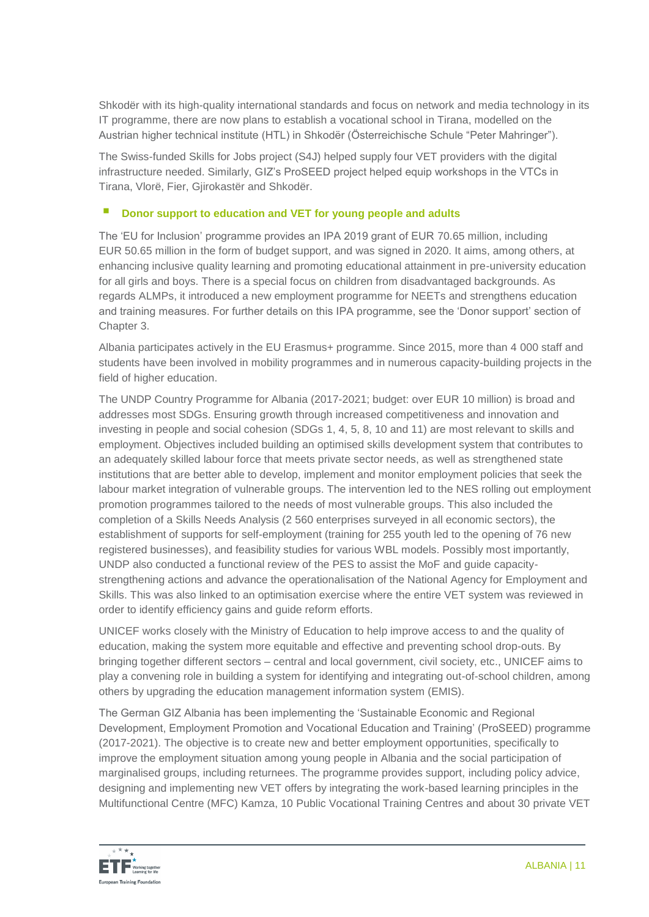Shkodër with its high-quality international standards and focus on network and media technology in its IT programme, there are now plans to establish a vocational school in Tirana, modelled on the Austrian higher technical institute (HTL) in Shkodër (Österreichische Schule "Peter Mahringer").

The Swiss-funded Skills for Jobs project (S4J) helped supply four VET providers with the digital infrastructure needed. Similarly, GIZ's ProSEED project helped equip workshops in the VTCs in Tirana, Vlorë, Fier, Gjirokastër and Shkodër.

# **Donor support to education and VET for young people and adults**

The 'EU for Inclusion' programme provides an IPA 2019 grant of EUR 70.65 million, including EUR 50.65 million in the form of budget support, and was signed in 2020. It aims, among others, at enhancing inclusive quality learning and promoting educational attainment in pre-university education for all girls and boys. There is a special focus on children from disadvantaged backgrounds. As regards ALMPs, it introduced a new employment programme for NEETs and strengthens education and training measures. For further details on this IPA programme, see the 'Donor support' section of Chapter 3.

Albania participates actively in the EU Erasmus+ programme. Since 2015, more than 4 000 staff and students have been involved in mobility programmes and in numerous capacity-building projects in the field of higher education.

The UNDP Country Programme for Albania (2017-2021; budget: over EUR 10 million) is broad and addresses most SDGs. Ensuring growth through increased competitiveness and innovation and investing in people and social cohesion (SDGs 1, 4, 5, 8, 10 and 11) are most relevant to skills and employment. Objectives included building an optimised skills development system that contributes to an adequately skilled labour force that meets private sector needs, as well as strengthened state institutions that are better able to develop, implement and monitor employment policies that seek the labour market integration of vulnerable groups. The intervention led to the NES rolling out employment promotion programmes tailored to the needs of most vulnerable groups. This also included the completion of a Skills Needs Analysis (2 560 enterprises surveyed in all economic sectors), the establishment of supports for self-employment (training for 255 youth led to the opening of 76 new registered businesses), and feasibility studies for various WBL models. Possibly most importantly, UNDP also conducted a functional review of the PES to assist the MoF and guide capacitystrengthening actions and advance the operationalisation of the National Agency for Employment and Skills. This was also linked to an optimisation exercise where the entire VET system was reviewed in order to identify efficiency gains and guide reform efforts.

UNICEF works closely with the Ministry of Education to help improve access to and the quality of education, making the system more equitable and effective and preventing school drop-outs. By bringing together different sectors – central and local government, civil society, etc., UNICEF aims to play a convening role in building a system for identifying and integrating out-of-school children, among others by upgrading the education management information system (EMIS).

The German GIZ Albania has been implementing the 'Sustainable Economic and Regional Development, Employment Promotion and Vocational Education and Training' (ProSEED) programme (2017-2021). The objective is to create new and better employment opportunities, specifically to improve the employment situation among young people in Albania and the social participation of marginalised groups, including returnees. The programme provides support, including policy advice, designing and implementing new VET offers by integrating the work-based learning principles in the Multifunctional Centre (MFC) Kamza, 10 Public Vocational Training Centres and about 30 private VET

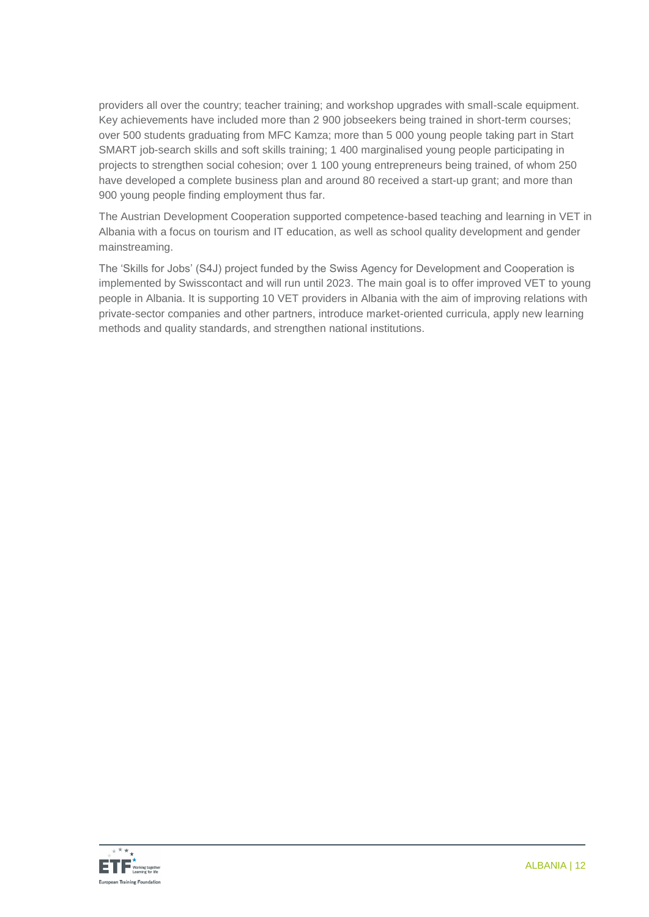providers all over the country; teacher training; and workshop upgrades with small-scale equipment. Key achievements have included more than 2 900 jobseekers being trained in short-term courses; over 500 students graduating from MFC Kamza; more than 5 000 young people taking part in Start SMART job-search skills and soft skills training; 1 400 marginalised young people participating in projects to strengthen social cohesion; over 1 100 young entrepreneurs being trained, of whom 250 have developed a complete business plan and around 80 received a start-up grant; and more than 900 young people finding employment thus far.

The Austrian Development Cooperation supported competence-based teaching and learning in VET in Albania with a focus on tourism and IT education, as well as school quality development and gender mainstreaming.

The 'Skills for Jobs' (S4J) project funded by the Swiss Agency for Development and Cooperation is implemented by Swisscontact and will run until 2023. The main goal is to offer improved VET to young people in Albania. It is supporting 10 VET providers in Albania with the aim of improving relations with private-sector companies and other partners, introduce market-oriented curricula, apply new learning methods and quality standards, and strengthen national institutions.

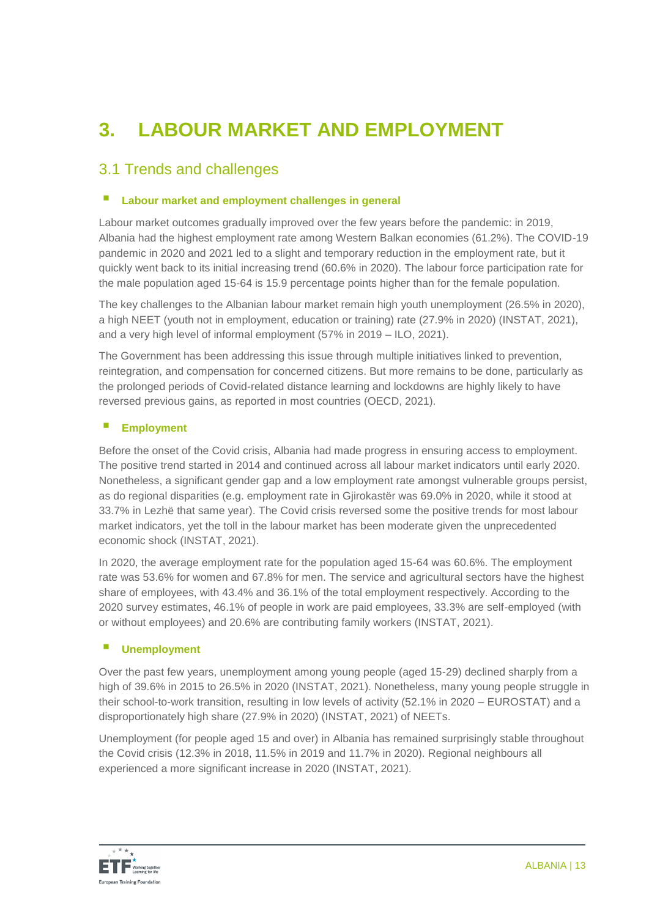# **3. LABOUR MARKET AND EMPLOYMENT**

# 3.1 Trends and challenges

#### **Labour market and employment challenges in general**

Labour market outcomes gradually improved over the few years before the pandemic: in 2019, Albania had the highest employment rate among Western Balkan economies (61.2%). The COVID-19 pandemic in 2020 and 2021 led to a slight and temporary reduction in the employment rate, but it quickly went back to its initial increasing trend (60.6% in 2020). The labour force participation rate for the male population aged 15-64 is 15.9 percentage points higher than for the female population.

The key challenges to the Albanian labour market remain high youth unemployment (26.5% in 2020), a high NEET (youth not in employment, education or training) rate (27.9% in 2020) (INSTAT, 2021), and a very high level of informal employment (57% in 2019 – ILO, 2021).

The Government has been addressing this issue through multiple initiatives linked to prevention, reintegration, and compensation for concerned citizens. But more remains to be done, particularly as the prolonged periods of Covid-related distance learning and lockdowns are highly likely to have reversed previous gains, as reported in most countries (OECD, 2021).

#### **Employment**

Before the onset of the Covid crisis, Albania had made progress in ensuring access to employment. The positive trend started in 2014 and continued across all labour market indicators until early 2020. Nonetheless, a significant gender gap and a low employment rate amongst vulnerable groups persist, as do regional disparities (e.g. employment rate in Gjirokastër was 69.0% in 2020, while it stood at 33.7% in Lezhë that same year). The Covid crisis reversed some the positive trends for most labour market indicators, yet the toll in the labour market has been moderate given the unprecedented economic shock (INSTAT, 2021).

In 2020, the average employment rate for the population aged 15-64 was 60.6%. The employment rate was 53.6% for women and 67.8% for men. The service and agricultural sectors have the highest share of employees, with 43.4% and 36.1% of the total employment respectively. According to the 2020 survey estimates, 46.1% of people in work are paid employees, 33.3% are self-employed (with or without employees) and 20.6% are contributing family workers (INSTAT, 2021).

#### **Unemployment**

Over the past few years, unemployment among young people (aged 15-29) declined sharply from a high of 39.6% in 2015 to 26.5% in 2020 (INSTAT, 2021). Nonetheless, many young people struggle in their school-to-work transition, resulting in low levels of activity (52.1% in 2020 – EUROSTAT) and a disproportionately high share (27.9% in 2020) (INSTAT, 2021) of NEETs.

Unemployment (for people aged 15 and over) in Albania has remained surprisingly stable throughout the Covid crisis (12.3% in 2018, 11.5% in 2019 and 11.7% in 2020). Regional neighbours all experienced a more significant increase in 2020 (INSTAT, 2021).

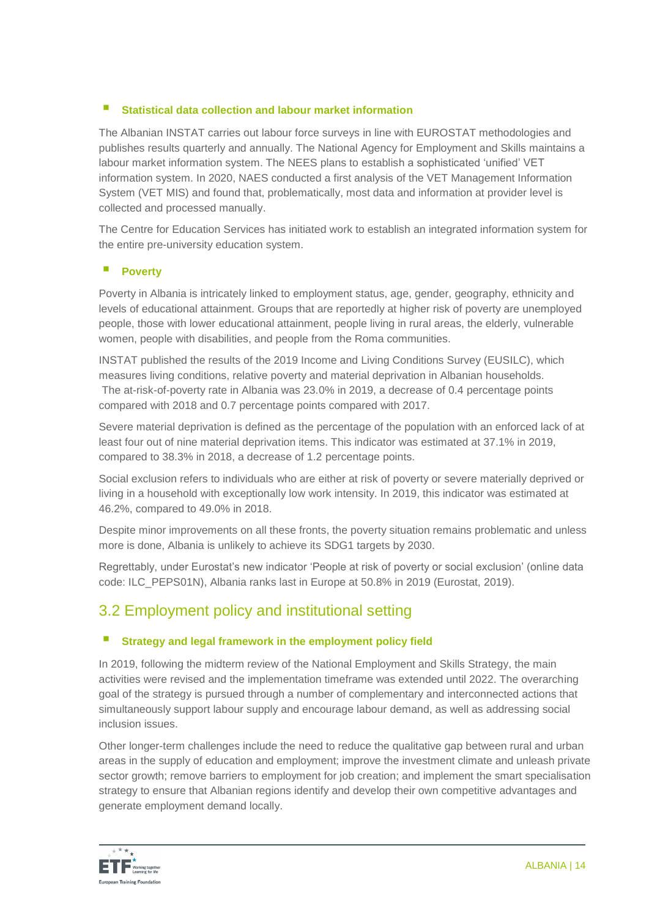# **Statistical data collection and labour market information**

The Albanian INSTAT carries out labour force surveys in line with EUROSTAT methodologies and publishes results quarterly and annually. The National Agency for Employment and Skills maintains a labour market information system. The NEES plans to establish a sophisticated 'unified' VET information system. In 2020, NAES conducted a first analysis of the VET Management Information System (VET MIS) and found that, problematically, most data and information at provider level is collected and processed manually.

The Centre for Education Services has initiated work to establish an integrated information system for the entire pre-university education system.

# **Poverty**

Poverty in Albania is intricately linked to employment status, age, gender, geography, ethnicity and levels of educational attainment. Groups that are reportedly at higher risk of poverty are unemployed people, those with lower educational attainment, people living in rural areas, the elderly, vulnerable women, people with disabilities, and people from the Roma communities.

INSTAT published the results of the 2019 Income and Living Conditions Survey (EUSILC), which measures living conditions, relative poverty and material deprivation in Albanian households. The at-risk-of-poverty rate in Albania was 23.0% in 2019, a decrease of 0.4 percentage points compared with 2018 and 0.7 percentage points compared with 2017.

Severe material deprivation is defined as the percentage of the population with an enforced lack of at least four out of nine material deprivation items. This indicator was estimated at 37.1% in 2019, compared to 38.3% in 2018, a decrease of 1.2 percentage points.

Social exclusion refers to individuals who are either at risk of poverty or severe materially deprived or living in a household with exceptionally low work intensity. In 2019, this indicator was estimated at 46.2%, compared to 49.0% in 2018.

Despite minor improvements on all these fronts, the poverty situation remains problematic and unless more is done, Albania is unlikely to achieve its SDG1 targets by 2030.

Regrettably, under Eurostat's new indicator 'People at risk of poverty or social exclusion' (online data code: ILC\_PEPS01N), Albania ranks last in Europe at 50.8% in 2019 (Eurostat, 2019).

# 3.2 Employment policy and institutional setting

# **E** Strategy and legal framework in the employment policy field

In 2019, following the midterm review of the National Employment and Skills Strategy, the main activities were revised and the implementation timeframe was extended until 2022. The overarching goal of the strategy is pursued through a number of complementary and interconnected actions that simultaneously support labour supply and encourage labour demand, as well as addressing social inclusion issues.

Other longer-term challenges include the need to reduce the qualitative gap between rural and urban areas in the supply of education and employment; improve the investment climate and unleash private sector growth; remove barriers to employment for job creation; and implement the smart specialisation strategy to ensure that Albanian regions identify and develop their own competitive advantages and generate employment demand locally.

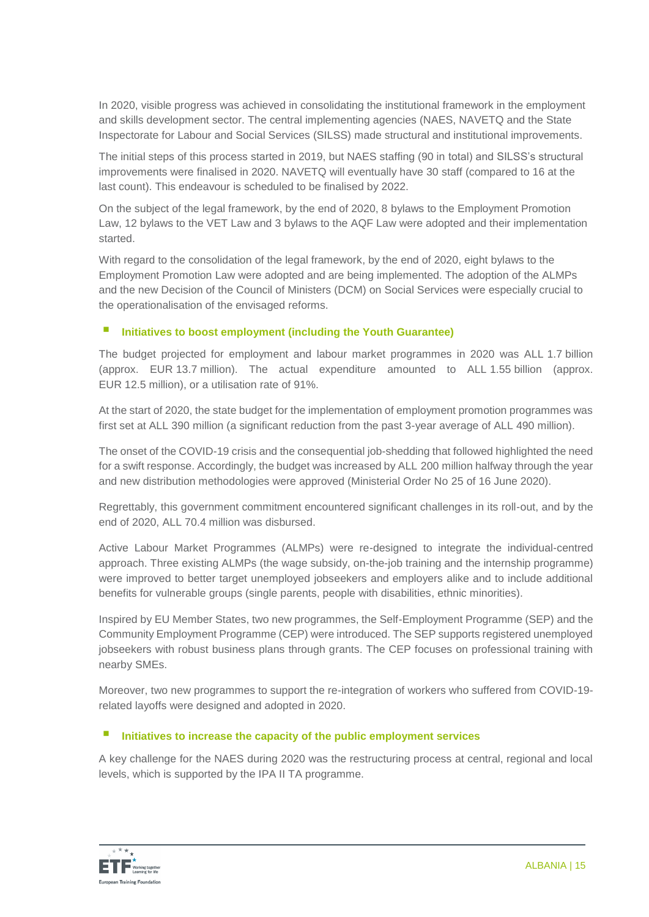In 2020, visible progress was achieved in consolidating the institutional framework in the employment and skills development sector. The central implementing agencies (NAES, NAVETQ and the State Inspectorate for Labour and Social Services (SILSS) made structural and institutional improvements.

The initial steps of this process started in 2019, but NAES staffing (90 in total) and SILSS's structural improvements were finalised in 2020. NAVETQ will eventually have 30 staff (compared to 16 at the last count). This endeavour is scheduled to be finalised by 2022.

On the subject of the legal framework, by the end of 2020, 8 bylaws to the Employment Promotion Law, 12 bylaws to the VET Law and 3 bylaws to the AQF Law were adopted and their implementation started.

With regard to the consolidation of the legal framework, by the end of 2020, eight bylaws to the Employment Promotion Law were adopted and are being implemented. The adoption of the ALMPs and the new Decision of the Council of Ministers (DCM) on Social Services were especially crucial to the operationalisation of the envisaged reforms.

# **Initiatives to boost employment (including the Youth Guarantee)**

The budget projected for employment and labour market programmes in 2020 was ALL 1.7 billion (approx. EUR 13.7 million). The actual expenditure amounted to ALL 1.55 billion (approx. EUR 12.5 million), or a utilisation rate of 91%.

At the start of 2020, the state budget for the implementation of employment promotion programmes was first set at ALL 390 million (a significant reduction from the past 3-year average of ALL 490 million).

The onset of the COVID-19 crisis and the consequential job-shedding that followed highlighted the need for a swift response. Accordingly, the budget was increased by ALL 200 million halfway through the year and new distribution methodologies were approved (Ministerial Order No 25 of 16 June 2020).

Regrettably, this government commitment encountered significant challenges in its roll-out, and by the end of 2020, ALL 70.4 million was disbursed.

Active Labour Market Programmes (ALMPs) were re-designed to integrate the individual-centred approach. Three existing ALMPs (the wage subsidy, on-the-job training and the internship programme) were improved to better target unemployed jobseekers and employers alike and to include additional benefits for vulnerable groups (single parents, people with disabilities, ethnic minorities).

Inspired by EU Member States, two new programmes, the Self-Employment Programme (SEP) and the Community Employment Programme (CEP) were introduced. The SEP supports registered unemployed jobseekers with robust business plans through grants. The CEP focuses on professional training with nearby SMEs.

Moreover, two new programmes to support the re-integration of workers who suffered from COVID-19 related layoffs were designed and adopted in 2020.

#### **Initiatives to increase the capacity of the public employment services**

A key challenge for the NAES during 2020 was the restructuring process at central, regional and local levels, which is supported by the IPA II TA programme.

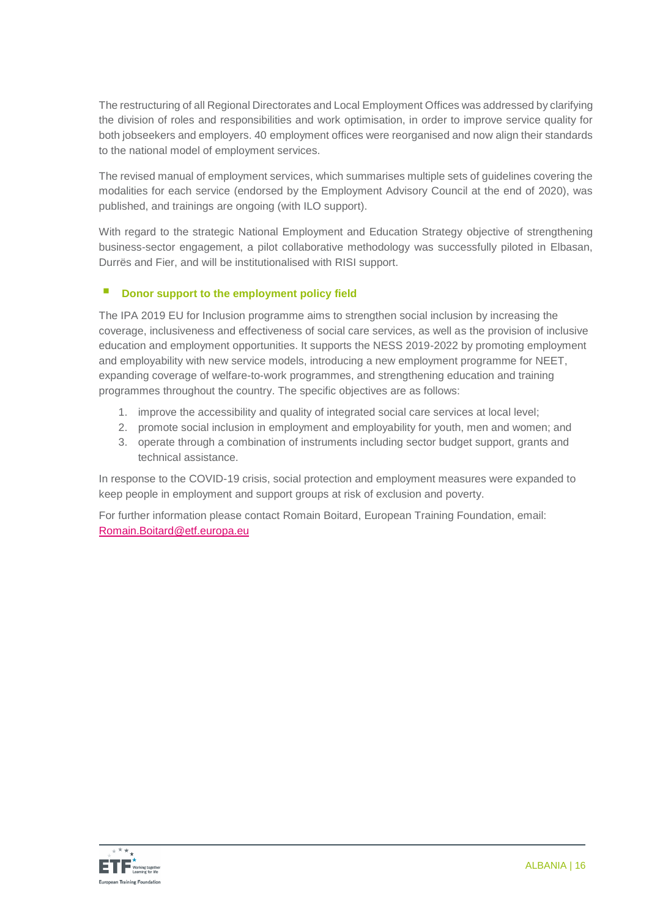The restructuring of all Regional Directorates and Local Employment Offices was addressed by clarifying the division of roles and responsibilities and work optimisation, in order to improve service quality for both jobseekers and employers. 40 employment offices were reorganised and now align their standards to the national model of employment services.

The revised manual of employment services, which summarises multiple sets of guidelines covering the modalities for each service (endorsed by the Employment Advisory Council at the end of 2020), was published, and trainings are ongoing (with ILO support).

With regard to the strategic National Employment and Education Strategy objective of strengthening business-sector engagement, a pilot collaborative methodology was successfully piloted in Elbasan, Durrës and Fier, and will be institutionalised with RISI support.

# **Donor support to the employment policy field**

The IPA 2019 EU for Inclusion programme aims to strengthen social inclusion by increasing the coverage, inclusiveness and effectiveness of social care services, as well as the provision of inclusive education and employment opportunities. It supports the NESS 2019-2022 by promoting employment and employability with new service models, introducing a new employment programme for NEET, expanding coverage of welfare-to-work programmes, and strengthening education and training programmes throughout the country. The specific objectives are as follows:

- 1. improve the accessibility and quality of integrated social care services at local level;
- 2. promote social inclusion in employment and employability for youth, men and women; and
- 3. operate through a combination of instruments including sector budget support, grants and technical assistance.

In response to the COVID-19 crisis, social protection and employment measures were expanded to keep people in employment and support groups at risk of exclusion and poverty.

For further information please contact Romain Boitard, European Training Foundation, email: [Romain.Boitard@etf.europa.eu](mailto:Evelyn.Viertel@etf.europa.eu)

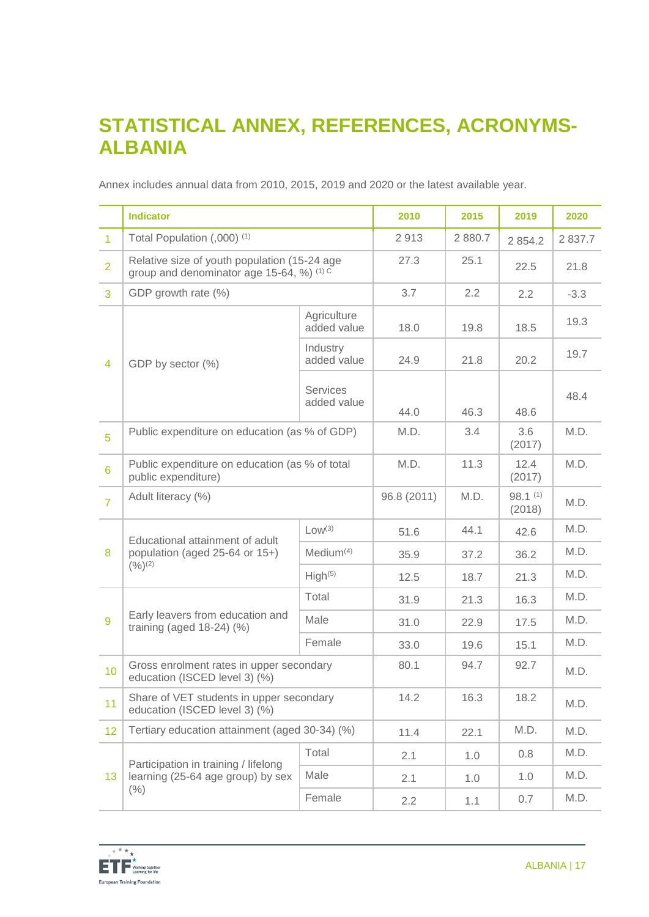# **STATISTICAL ANNEX, REFERENCES, ACRONYMS-ALBANIA**

Annex includes annual data from 2010, 2015, 2019 and 2020 or the latest available year.

|                | <b>Indicator</b>                                                                          |                                | 2010        | 2015    | 2019              | 2020      |
|----------------|-------------------------------------------------------------------------------------------|--------------------------------|-------------|---------|-------------------|-----------|
| $\overline{1}$ | Total Population (,000) <sup>(1)</sup>                                                    |                                | 2913        | 2 880.7 | 2 8 5 4.2         | 2 8 3 7.7 |
| $\overline{2}$ | Relative size of youth population (15-24 age<br>group and denominator age 15-64, %) (1) C |                                | 27.3        | 25.1    | 22.5              | 21.8      |
| 3              | GDP growth rate (%)                                                                       |                                | 3.7         | 2.2     | 2.2               | $-3.3$    |
|                | GDP by sector (%)                                                                         | Agriculture<br>added value     | 18.0        | 19.8    | 18.5              | 19.3      |
| $\overline{4}$ |                                                                                           | Industry<br>added value        | 24.9        | 21.8    | 20.2              | 19.7      |
|                |                                                                                           | <b>Services</b><br>added value | 44.0        | 46.3    | 48.6              | 48.4      |
| 5              | Public expenditure on education (as % of GDP)                                             |                                | M.D.        | 3.4     | 3.6<br>(2017)     | M.D.      |
| 6              | Public expenditure on education (as % of total<br>public expenditure)                     |                                | M.D.        | 11.3    | 12.4<br>(2017)    | M.D.      |
| $\overline{7}$ | Adult literacy (%)                                                                        |                                | 96.8 (2011) | M.D.    | 98.1(1)<br>(2018) | M.D.      |
|                | Educational attainment of adult<br>population (aged 25-64 or 15+)<br>(9/6)(2)             | Low <sup>(3)</sup>             | 51.6        | 44.1    | 42.6              | M.D.      |
| 8              |                                                                                           | Median <sup>(4)</sup>          | 35.9        | 37.2    | 36.2              | M.D.      |
|                |                                                                                           | High <sup>(5)</sup>            | 12.5        | 18.7    | 21.3              | M.D.      |
|                | Early leavers from education and<br>training (aged $18-24$ ) (%)                          | Total                          | 31.9        | 21.3    | 16.3              | M.D.      |
| 9              |                                                                                           | Male                           | 31.0        | 22.9    | 17.5              | M.D.      |
|                |                                                                                           | Female                         | 33.0        | 19.6    | 15.1              | M.D.      |
| 10             | Gross enrolment rates in upper secondary<br>education (ISCED level 3) (%)                 |                                | 80.1        | 94.7    | 92.7              | M.D.      |
| 11             | Share of VET students in upper secondary<br>education (ISCED level 3) (%)                 |                                | 14.2        | 16.3    | 18.2              | M.D.      |
| 12             | Tertiary education attainment (aged 30-34) (%)                                            |                                | 11.4        | 22.1    | M.D.              | M.D.      |
|                | Participation in training / lifelong                                                      | Total                          | 2.1         | 1.0     | 0.8               | M.D.      |
| 13             | learning (25-64 age group) by sex                                                         | Male                           | 2.1         | 1.0     | 1.0               | M.D.      |
|                | (% )                                                                                      | Female                         | 2.2         | 1.1     | 0.7               | M.D.      |

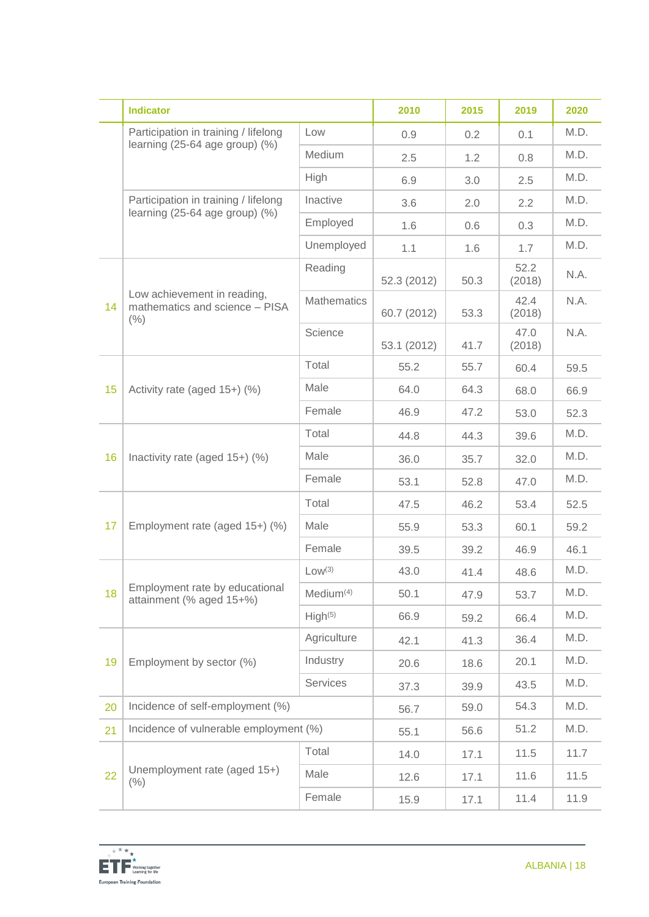|    | <b>Indicator</b>                                                            |                       | 2010        | 2015 | 2019           | 2020 |
|----|-----------------------------------------------------------------------------|-----------------------|-------------|------|----------------|------|
|    | Participation in training / lifelong<br>learning $(25-64$ age group) $(\%)$ | Low                   | 0.9         | 0.2  | 0.1            | M.D. |
|    |                                                                             | Medium                | 2.5         | 1.2  | 0.8            | M.D. |
|    |                                                                             | High                  | 6.9         | 3.0  | 2.5            | M.D. |
|    | Participation in training / lifelong                                        | Inactive              | 3.6         | 2.0  | 2.2            | M.D. |
|    | learning $(25-64$ age group) $(\%)$                                         | Employed              | 1.6         | 0.6  | 0.3            | M.D. |
|    |                                                                             | Unemployed            | 1.1         | 1.6  | 1.7            | M.D. |
|    | Low achievement in reading,<br>mathematics and science - PISA<br>(% )       | Reading               | 52.3 (2012) | 50.3 | 52.2<br>(2018) | N.A. |
| 14 |                                                                             | <b>Mathematics</b>    | 60.7 (2012) | 53.3 | 42.4<br>(2018) | N.A. |
|    |                                                                             | Science               | 53.1 (2012) | 41.7 | 47.0<br>(2018) | N.A. |
|    |                                                                             | Total                 | 55.2        | 55.7 | 60.4           | 59.5 |
| 15 | Activity rate (aged 15+) (%)                                                | Male                  | 64.0        | 64.3 | 68.0           | 66.9 |
|    |                                                                             | Female                | 46.9        | 47.2 | 53.0           | 52.3 |
|    | Inactivity rate (aged 15+) (%)                                              | Total                 | 44.8        | 44.3 | 39.6           | M.D. |
| 16 |                                                                             | Male                  | 36.0        | 35.7 | 32.0           | M.D. |
|    |                                                                             | Female                | 53.1        | 52.8 | 47.0           | M.D. |
|    | Employment rate (aged 15+) (%)                                              | Total                 | 47.5        | 46.2 | 53.4           | 52.5 |
| 17 |                                                                             | Male                  | 55.9        | 53.3 | 60.1           | 59.2 |
|    |                                                                             | Female                | 39.5        | 39.2 | 46.9           | 46.1 |
|    | Employment rate by educational<br>attainment (% aged 15+%)                  | Low <sup>(3)</sup>    | 43.0        | 41.4 | 48.6           | M.D. |
| 18 |                                                                             | Medium <sup>(4)</sup> | 50.1        | 47.9 | 53.7           | M.D. |
|    |                                                                             | High <sup>(5)</sup>   | 66.9        | 59.2 | 66.4           | M.D. |
|    | Employment by sector (%)                                                    | Agriculture           | 42.1        | 41.3 | 36.4           | M.D. |
| 19 |                                                                             | Industry              | 20.6        | 18.6 | 20.1           | M.D. |
|    |                                                                             | Services              | 37.3        | 39.9 | 43.5           | M.D. |
| 20 | Incidence of self-employment (%)                                            |                       | 56.7        | 59.0 | 54.3           | M.D. |
| 21 | Incidence of vulnerable employment (%)                                      |                       | 55.1        | 56.6 | 51.2           | M.D. |
|    | Unemployment rate (aged 15+)<br>(% )                                        | Total                 | 14.0        | 17.1 | 11.5           | 11.7 |
| 22 |                                                                             | Male                  | 12.6        | 17.1 | 11.6           | 11.5 |
|    |                                                                             | Female                | 15.9        | 17.1 | 11.4           | 11.9 |

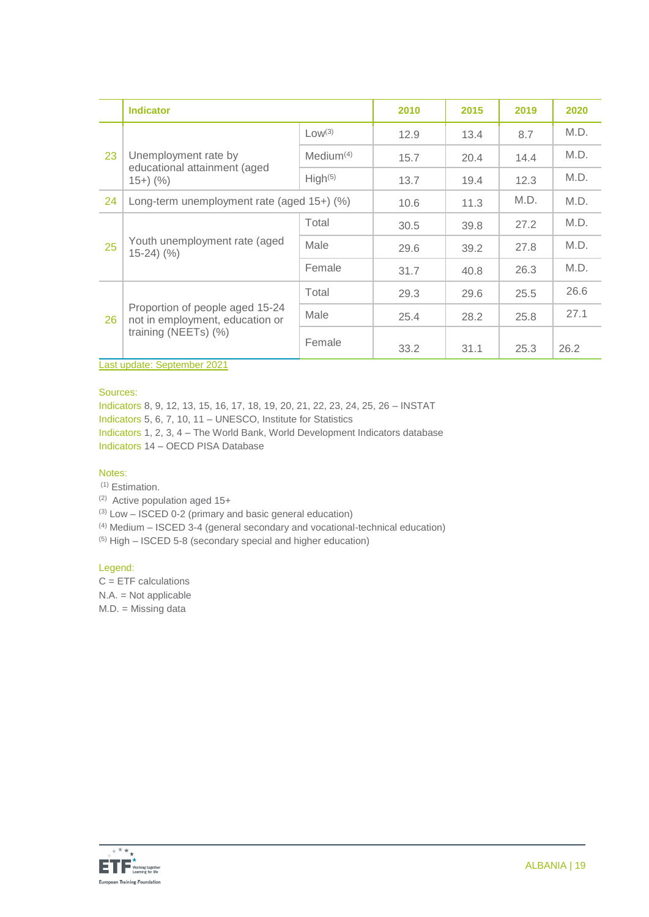|    | <b>Indicator</b>                                                                           |                     | 2010 | 2015 | 2019 | 2020 |
|----|--------------------------------------------------------------------------------------------|---------------------|------|------|------|------|
| 23 | Unemployment rate by<br>educational attainment (aged<br>$(15+)$ (%)                        | Low <sup>(3)</sup>  | 12.9 | 13.4 | 8.7  | M.D. |
|    |                                                                                            | $Median^{(4)}$      | 15.7 | 20.4 | 14.4 | M.D. |
|    |                                                                                            | High <sup>(5)</sup> | 13.7 | 19.4 | 12.3 | M.D. |
| 24 | Long-term unemployment rate (aged $15+$ ) (%)                                              |                     | 10.6 | 11.3 | M.D. | M.D. |
| 25 | Youth unemployment rate (aged<br>$15-24$ $(%$                                              | Total               | 30.5 | 39.8 | 27.2 | M.D. |
|    |                                                                                            | Male                | 29.6 | 39.2 | 27.8 | M.D. |
|    |                                                                                            | Female              | 31.7 | 40.8 | 26.3 | M.D. |
|    |                                                                                            | Total               | 29.3 | 29.6 | 25.5 | 26.6 |
| 26 | Proportion of people aged 15-24<br>not in employment, education or<br>training (NEETs) (%) | Male                | 25.4 | 28.2 | 25.8 | 27.1 |
|    |                                                                                            | Female              | 33.2 | 31.1 | 25.3 | 26.2 |

Last update: September 2021

Sources:

Indicators 8, 9, 12, 13, 15, 16, 17, 18, 19, 20, 21, 22, 23, 24, 25, 26 – INSTAT

Indicators 5, 6, 7, 10, 11 – UNESCO, Institute for Statistics

Indicators 1, 2, 3, 4 – The World Bank, World Development Indicators database Indicators 14 – OECD PISA Database

#### Notes:

(1) Estimation.

(2) Active population aged 15+

(3) Low – ISCED 0-2 (primary and basic general education)

(4) Medium – ISCED 3-4 (general secondary and vocational-technical education)

(5) High – ISCED 5-8 (secondary special and higher education)

#### Legend:

 $C = ETF$  calculations

N.A. = Not applicable

M.D. = Missing data

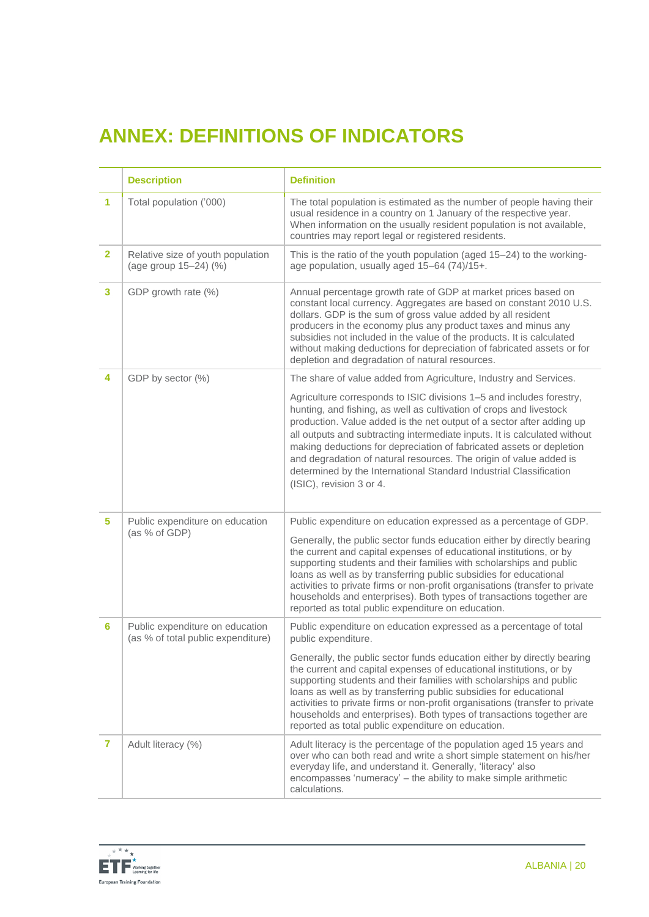# **ANNEX: DEFINITIONS OF INDICATORS**

|                | <b>Description</b>                                                    | <b>Definition</b>                                                                                                                                                                                                                                                                                                                                                                                                                                                                                                                                 |
|----------------|-----------------------------------------------------------------------|---------------------------------------------------------------------------------------------------------------------------------------------------------------------------------------------------------------------------------------------------------------------------------------------------------------------------------------------------------------------------------------------------------------------------------------------------------------------------------------------------------------------------------------------------|
| 1              | Total population ('000)                                               | The total population is estimated as the number of people having their<br>usual residence in a country on 1 January of the respective year.<br>When information on the usually resident population is not available,<br>countries may report legal or registered residents.                                                                                                                                                                                                                                                                       |
| $\overline{2}$ | Relative size of youth population<br>(age group 15-24) (%)            | This is the ratio of the youth population (aged 15-24) to the working-<br>age population, usually aged 15-64 (74)/15+.                                                                                                                                                                                                                                                                                                                                                                                                                            |
| 3              | GDP growth rate (%)                                                   | Annual percentage growth rate of GDP at market prices based on<br>constant local currency. Aggregates are based on constant 2010 U.S.<br>dollars. GDP is the sum of gross value added by all resident<br>producers in the economy plus any product taxes and minus any<br>subsidies not included in the value of the products. It is calculated<br>without making deductions for depreciation of fabricated assets or for<br>depletion and degradation of natural resources.                                                                      |
| 4              | GDP by sector (%)                                                     | The share of value added from Agriculture, Industry and Services.                                                                                                                                                                                                                                                                                                                                                                                                                                                                                 |
|                |                                                                       | Agriculture corresponds to ISIC divisions 1-5 and includes forestry,<br>hunting, and fishing, as well as cultivation of crops and livestock<br>production. Value added is the net output of a sector after adding up<br>all outputs and subtracting intermediate inputs. It is calculated without<br>making deductions for depreciation of fabricated assets or depletion<br>and degradation of natural resources. The origin of value added is<br>determined by the International Standard Industrial Classification<br>(ISIC), revision 3 or 4. |
| 5.             | Public expenditure on education<br>(as % of GDP)                      | Public expenditure on education expressed as a percentage of GDP.                                                                                                                                                                                                                                                                                                                                                                                                                                                                                 |
|                |                                                                       | Generally, the public sector funds education either by directly bearing<br>the current and capital expenses of educational institutions, or by<br>supporting students and their families with scholarships and public<br>loans as well as by transferring public subsidies for educational<br>activities to private firms or non-profit organisations (transfer to private<br>households and enterprises). Both types of transactions together are<br>reported as total public expenditure on education.                                          |
| 6              | Public expenditure on education<br>(as % of total public expenditure) | Public expenditure on education expressed as a percentage of total<br>public expenditure.                                                                                                                                                                                                                                                                                                                                                                                                                                                         |
|                |                                                                       | Generally, the public sector funds education either by directly bearing<br>the current and capital expenses of educational institutions, or by<br>supporting students and their families with scholarships and public<br>loans as well as by transferring public subsidies for educational<br>activities to private firms or non-profit organisations (transfer to private<br>households and enterprises). Both types of transactions together are<br>reported as total public expenditure on education.                                          |
| 7              | Adult literacy (%)                                                    | Adult literacy is the percentage of the population aged 15 years and<br>over who can both read and write a short simple statement on his/her<br>everyday life, and understand it. Generally, 'literacy' also<br>encompasses 'numeracy' - the ability to make simple arithmetic<br>calculations.                                                                                                                                                                                                                                                   |

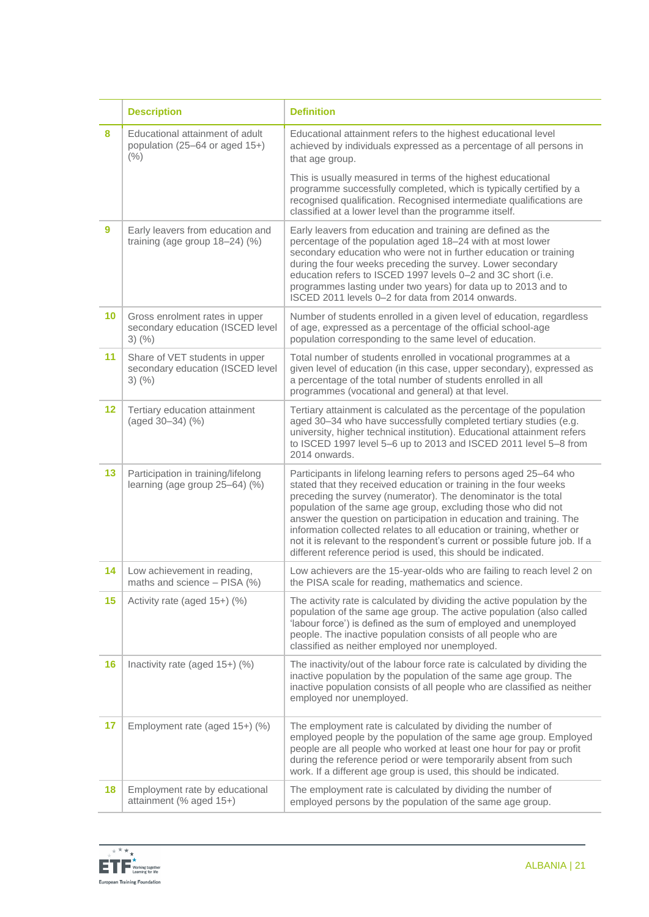|         | <b>Description</b>                                                                 | <b>Definition</b>                                                                                                                                                                                                                                                                                                                                                                                                                                                                                                                                                           |
|---------|------------------------------------------------------------------------------------|-----------------------------------------------------------------------------------------------------------------------------------------------------------------------------------------------------------------------------------------------------------------------------------------------------------------------------------------------------------------------------------------------------------------------------------------------------------------------------------------------------------------------------------------------------------------------------|
| 8       | Educational attainment of adult<br>population (25-64 or aged 15+)<br>(% )          | Educational attainment refers to the highest educational level<br>achieved by individuals expressed as a percentage of all persons in<br>that age group.                                                                                                                                                                                                                                                                                                                                                                                                                    |
|         |                                                                                    | This is usually measured in terms of the highest educational<br>programme successfully completed, which is typically certified by a<br>recognised qualification. Recognised intermediate qualifications are<br>classified at a lower level than the programme itself.                                                                                                                                                                                                                                                                                                       |
| 9       | Early leavers from education and<br>training (age group $18-24$ ) (%)              | Early leavers from education and training are defined as the<br>percentage of the population aged 18-24 with at most lower<br>secondary education who were not in further education or training<br>during the four weeks preceding the survey. Lower secondary<br>education refers to ISCED 1997 levels 0-2 and 3C short (i.e.<br>programmes lasting under two years) for data up to 2013 and to<br>ISCED 2011 levels 0-2 for data from 2014 onwards.                                                                                                                       |
| 10      | Gross enrolment rates in upper<br>secondary education (ISCED level<br>$3)$ (%)     | Number of students enrolled in a given level of education, regardless<br>of age, expressed as a percentage of the official school-age<br>population corresponding to the same level of education.                                                                                                                                                                                                                                                                                                                                                                           |
| 11      | Share of VET students in upper<br>secondary education (ISCED level<br>$3)$ $(\% )$ | Total number of students enrolled in vocational programmes at a<br>given level of education (in this case, upper secondary), expressed as<br>a percentage of the total number of students enrolled in all<br>programmes (vocational and general) at that level.                                                                                                                                                                                                                                                                                                             |
| $12 \,$ | Tertiary education attainment<br>(aged 30-34) (%)                                  | Tertiary attainment is calculated as the percentage of the population<br>aged 30-34 who have successfully completed tertiary studies (e.g.<br>university, higher technical institution). Educational attainment refers<br>to ISCED 1997 level 5-6 up to 2013 and ISCED 2011 level 5-8 from<br>2014 onwards.                                                                                                                                                                                                                                                                 |
| 13      | Participation in training/lifelong<br>learning (age group 25-64) (%)               | Participants in lifelong learning refers to persons aged 25-64 who<br>stated that they received education or training in the four weeks<br>preceding the survey (numerator). The denominator is the total<br>population of the same age group, excluding those who did not<br>answer the question on participation in education and training. The<br>information collected relates to all education or training, whether or<br>not it is relevant to the respondent's current or possible future job. If a<br>different reference period is used, this should be indicated. |
| 14      | Low achievement in reading,<br>maths and science - PISA (%)                        | Low achievers are the 15-year-olds who are failing to reach level 2 on<br>the PISA scale for reading, mathematics and science.                                                                                                                                                                                                                                                                                                                                                                                                                                              |
| 15      | Activity rate (aged 15+) (%)                                                       | The activity rate is calculated by dividing the active population by the<br>population of the same age group. The active population (also called<br>'labour force') is defined as the sum of employed and unemployed<br>people. The inactive population consists of all people who are<br>classified as neither employed nor unemployed.                                                                                                                                                                                                                                    |
| 16      | Inactivity rate (aged 15+) (%)                                                     | The inactivity/out of the labour force rate is calculated by dividing the<br>inactive population by the population of the same age group. The<br>inactive population consists of all people who are classified as neither<br>employed nor unemployed.                                                                                                                                                                                                                                                                                                                       |
| 17      | Employment rate (aged 15+) (%)                                                     | The employment rate is calculated by dividing the number of<br>employed people by the population of the same age group. Employed<br>people are all people who worked at least one hour for pay or profit<br>during the reference period or were temporarily absent from such<br>work. If a different age group is used, this should be indicated.                                                                                                                                                                                                                           |
| 18      | Employment rate by educational<br>attainment (% aged 15+)                          | The employment rate is calculated by dividing the number of<br>employed persons by the population of the same age group.                                                                                                                                                                                                                                                                                                                                                                                                                                                    |

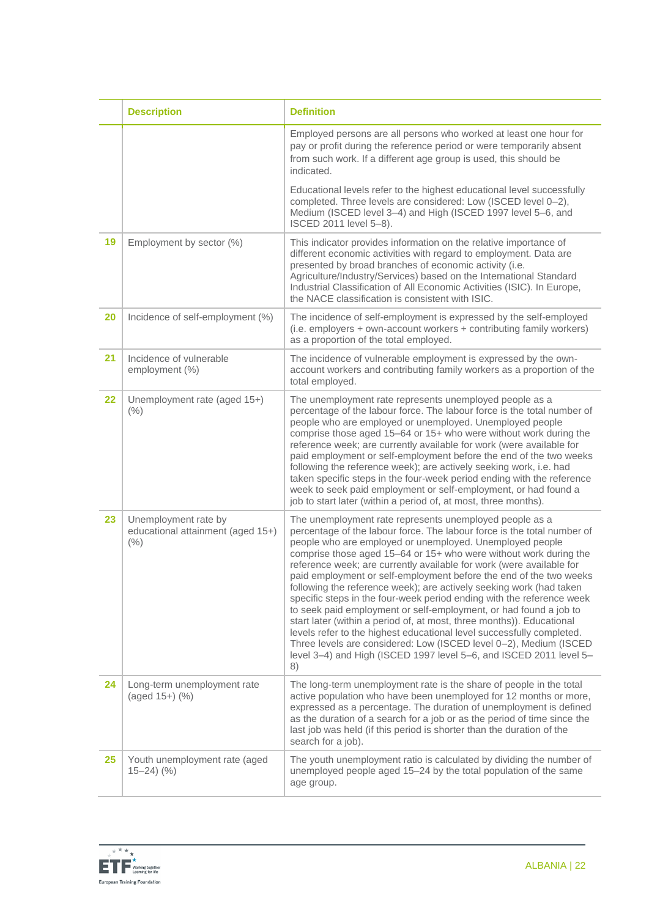|    | <b>Description</b>                                                    | <b>Definition</b>                                                                                                                                                                                                                                                                                                                                                                                                                                                                                                                                                                                                                                                                                                                                                                                                                                                                                                                         |
|----|-----------------------------------------------------------------------|-------------------------------------------------------------------------------------------------------------------------------------------------------------------------------------------------------------------------------------------------------------------------------------------------------------------------------------------------------------------------------------------------------------------------------------------------------------------------------------------------------------------------------------------------------------------------------------------------------------------------------------------------------------------------------------------------------------------------------------------------------------------------------------------------------------------------------------------------------------------------------------------------------------------------------------------|
|    |                                                                       | Employed persons are all persons who worked at least one hour for<br>pay or profit during the reference period or were temporarily absent<br>from such work. If a different age group is used, this should be<br>indicated.                                                                                                                                                                                                                                                                                                                                                                                                                                                                                                                                                                                                                                                                                                               |
|    |                                                                       | Educational levels refer to the highest educational level successfully<br>completed. Three levels are considered: Low (ISCED level 0-2),<br>Medium (ISCED level 3-4) and High (ISCED 1997 level 5-6, and<br>ISCED 2011 level 5-8).                                                                                                                                                                                                                                                                                                                                                                                                                                                                                                                                                                                                                                                                                                        |
| 19 | Employment by sector (%)                                              | This indicator provides information on the relative importance of<br>different economic activities with regard to employment. Data are<br>presented by broad branches of economic activity (i.e.<br>Agriculture/Industry/Services) based on the International Standard<br>Industrial Classification of All Economic Activities (ISIC). In Europe,<br>the NACE classification is consistent with ISIC.                                                                                                                                                                                                                                                                                                                                                                                                                                                                                                                                     |
| 20 | Incidence of self-employment (%)                                      | The incidence of self-employment is expressed by the self-employed<br>(i.e. employers + own-account workers + contributing family workers)<br>as a proportion of the total employed.                                                                                                                                                                                                                                                                                                                                                                                                                                                                                                                                                                                                                                                                                                                                                      |
| 21 | Incidence of vulnerable<br>employment (%)                             | The incidence of vulnerable employment is expressed by the own-<br>account workers and contributing family workers as a proportion of the<br>total employed.                                                                                                                                                                                                                                                                                                                                                                                                                                                                                                                                                                                                                                                                                                                                                                              |
| 22 | Unemployment rate (aged 15+)<br>(% )                                  | The unemployment rate represents unemployed people as a<br>percentage of the labour force. The labour force is the total number of<br>people who are employed or unemployed. Unemployed people<br>comprise those aged 15-64 or 15+ who were without work during the<br>reference week; are currently available for work (were available for<br>paid employment or self-employment before the end of the two weeks<br>following the reference week); are actively seeking work, i.e. had<br>taken specific steps in the four-week period ending with the reference<br>week to seek paid employment or self-employment, or had found a<br>job to start later (within a period of, at most, three months).                                                                                                                                                                                                                                   |
| 23 | Unemployment rate by<br>educational attainment (aged 15+)<br>(% )     | The unemployment rate represents unemployed people as a<br>percentage of the labour force. The labour force is the total number of<br>people who are employed or unemployed. Unemployed people<br>comprise those aged 15-64 or 15+ who were without work during the<br>reference week; are currently available for work (were available for<br>paid employment or self-employment before the end of the two weeks<br>following the reference week); are actively seeking work (had taken<br>specific steps in the four-week period ending with the reference week<br>to seek paid employment or self-employment, or had found a job to<br>start later (within a period of, at most, three months)). Educational<br>levels refer to the highest educational level successfully completed.<br>Three levels are considered: Low (ISCED level 0-2), Medium (ISCED<br>level 3-4) and High (ISCED 1997 level 5-6, and ISCED 2011 level 5-<br>8) |
| 24 | Long-term unemployment rate<br>(aged 15+) (%)                         | The long-term unemployment rate is the share of people in the total<br>active population who have been unemployed for 12 months or more,<br>expressed as a percentage. The duration of unemployment is defined<br>as the duration of a search for a job or as the period of time since the<br>last job was held (if this period is shorter than the duration of the<br>search for a job).                                                                                                                                                                                                                                                                                                                                                                                                                                                                                                                                                 |
| 25 | Youth unemployment rate (aged<br>$15 - 24$ $\left(\frac{9}{6}\right)$ | The youth unemployment ratio is calculated by dividing the number of<br>unemployed people aged 15–24 by the total population of the same<br>age group.                                                                                                                                                                                                                                                                                                                                                                                                                                                                                                                                                                                                                                                                                                                                                                                    |

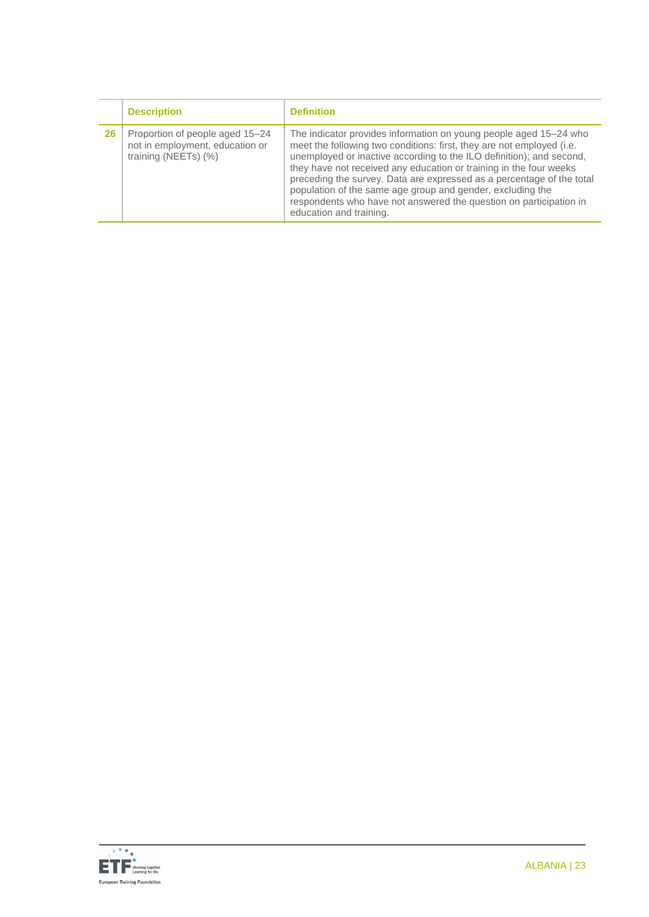|    | <b>Description</b>                                                                         | <b>Definition</b>                                                                                                                                                                                                                                                                                                                                                                                                                                                                                                                |
|----|--------------------------------------------------------------------------------------------|----------------------------------------------------------------------------------------------------------------------------------------------------------------------------------------------------------------------------------------------------------------------------------------------------------------------------------------------------------------------------------------------------------------------------------------------------------------------------------------------------------------------------------|
| 26 | Proportion of people aged 15-24<br>not in employment, education or<br>training (NEETs) (%) | The indicator provides information on young people aged 15–24 who<br>meet the following two conditions: first, they are not employed (i.e.<br>unemployed or inactive according to the ILO definition); and second,<br>they have not received any education or training in the four weeks<br>preceding the survey. Data are expressed as a percentage of the total<br>population of the same age group and gender, excluding the<br>respondents who have not answered the question on participation in<br>education and training. |

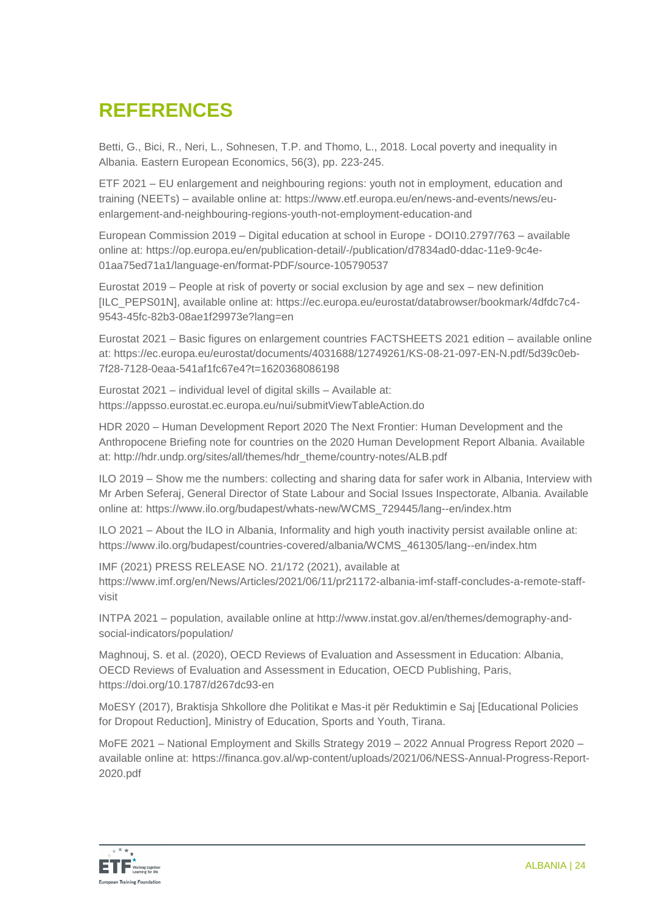# **REFERENCES**

Betti, G., Bici, R., Neri, L., Sohnesen, T.P. and Thomo, L., 2018. Local poverty and inequality in Albania. Eastern European Economics, 56(3), pp. 223-245.

ETF 2021 – EU enlargement and neighbouring regions: youth not in employment, education and training (NEETs) – available online at: [https://www.etf.europa.eu/en/news-and-events/news/eu](https://www.etf.europa.eu/en/news-and-events/news/eu-enlargement-and-neighbouring-regions-youth-not-employment-education-and)[enlargement-and-neighbouring-regions-youth-not-employment-education-and](https://www.etf.europa.eu/en/news-and-events/news/eu-enlargement-and-neighbouring-regions-youth-not-employment-education-and)

European Commission 2019 – Digital education at school in Europe - DOI10.2797/763 – available online at: [https://op.europa.eu/en/publication-detail/-/publication/d7834ad0-ddac-11e9-9c4e-](https://op.europa.eu/en/publication-detail/-/publication/d7834ad0-ddac-11e9-9c4e-01aa75ed71a1/language-en/format-PDF/source-105790537)[01aa75ed71a1/language-en/format-PDF/source-105790537](https://op.europa.eu/en/publication-detail/-/publication/d7834ad0-ddac-11e9-9c4e-01aa75ed71a1/language-en/format-PDF/source-105790537)

Eurostat 2019 – People at risk of poverty or social exclusion by age and sex – new definition [ILC\_PEPS01N], available online at: https://ec.europa.eu/eurostat/databrowser/bookmark/4dfdc7c4- 9543-45fc-82b3-08ae1f29973e?lang=en

Eurostat 2021 – Basic figures on enlargement countries FACTSHEETS 2021 edition – available online at: https://ec.europa.eu/eurostat/documents/4031688/12749261/KS-08-21-097-EN-N.pdf/5d39c0eb-7f28-7128-0eaa-541af1fc67e4?t=1620368086198

Eurostat 2021 – individual level of digital skills – Available at: <https://appsso.eurostat.ec.europa.eu/nui/submitViewTableAction.do>

HDR 2020 – Human Development Report 2020 The Next Frontier: Human Development and the Anthropocene Briefing note for countries on the 2020 Human Development Report Albania. Available at: [http://hdr.undp.org/sites/all/themes/hdr\\_theme/country-notes/ALB.pdf](http://hdr.undp.org/sites/all/themes/hdr_theme/country-notes/ALB.pdf)

ILO 2019 – Show me the numbers: collecting and sharing data for safer work in Albania, Interview with Mr Arben Seferaj, General Director of State Labour and Social Issues Inspectorate, Albania. Available online at: https://www.ilo.org/budapest/whats-new/WCMS\_729445/lang--en/index.htm

ILO 2021 – About the ILO in Albania, Informality and high youth inactivity persist available online at: https://www.ilo.org/budapest/countries-covered/albania/WCMS\_461305/lang--en/index.htm

IMF (2021) PRESS RELEASE NO. 21/172 (2021), available at [https://www.imf.org/en/News/Articles/2021/06/11/pr21172-albania-imf-staff-concludes-a-remote-staff](https://www.imf.org/en/News/Articles/2021/06/11/pr21172-albania-imf-staff-concludes-a-remote-staff-visit)[visit](https://www.imf.org/en/News/Articles/2021/06/11/pr21172-albania-imf-staff-concludes-a-remote-staff-visit)

INTPA 2021 – population, available online at [http://www.instat.gov.al/en/themes/demography-and](http://www.instat.gov.al/en/themes/demography-and-social-indicators/population/)[social-indicators/population/](http://www.instat.gov.al/en/themes/demography-and-social-indicators/population/)

Maghnouj, S. et al. (2020), OECD Reviews of Evaluation and Assessment in Education: Albania, OECD Reviews of Evaluation and Assessment in Education, OECD Publishing, Paris, <https://doi.org/10.1787/d267dc93-en>

MoESY (2017), Braktisja Shkollore dhe Politikat e Mas-it për Reduktimin e Saj [Educational Policies for Dropout Reduction], Ministry of Education, Sports and Youth, Tirana.

MoFE 2021 – National Employment and Skills Strategy 2019 – 2022 Annual Progress Report 2020 – available online at: [https://financa.gov.al/wp-content/uploads/2021/06/NESS-Annual-Progress-Report-](https://financa.gov.al/wp-content/uploads/2021/06/NESS-Annual-Progress-Report-2020.pdf)[2020.pdf](https://financa.gov.al/wp-content/uploads/2021/06/NESS-Annual-Progress-Report-2020.pdf)

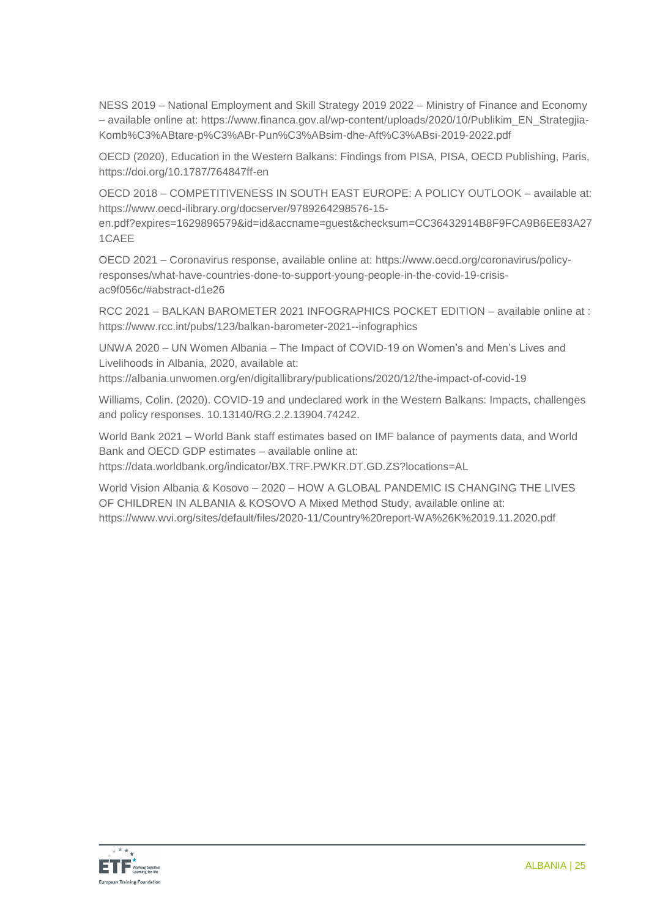NESS 2019 – National Employment and Skill Strategy 2019 2022 – Ministry of Finance and Economy – available online at: https://www.financa.gov.al/wp-content/uploads/2020/10/Publikim\_EN\_Strategjia-Komb%C3%ABtare-p%C3%ABr-Pun%C3%ABsim-dhe-Aft%C3%ABsi-2019-2022.pdf

OECD (2020), Education in the Western Balkans: Findings from PISA, PISA, OECD Publishing, Paris, <https://doi.org/10.1787/764847ff-en>

OECD 2018 – COMPETITIVENESS IN SOUTH EAST EUROPE: A POLICY OUTLOOK – available at: [https://www.oecd-ilibrary.org/docserver/9789264298576-15-](https://www.oecd-ilibrary.org/docserver/9789264298576-15-en.pdf?expires=1629896579&id=id&accname=guest&checksum=CC36432914B8F9FCA9B6EE83A271CAEE)

[en.pdf?expires=1629896579&id=id&accname=guest&checksum=CC36432914B8F9FCA9B6EE83A27](https://www.oecd-ilibrary.org/docserver/9789264298576-15-en.pdf?expires=1629896579&id=id&accname=guest&checksum=CC36432914B8F9FCA9B6EE83A271CAEE) [1CAEE](https://www.oecd-ilibrary.org/docserver/9789264298576-15-en.pdf?expires=1629896579&id=id&accname=guest&checksum=CC36432914B8F9FCA9B6EE83A271CAEE)

OECD 2021 – Coronavirus response, available online at: [https://www.oecd.org/coronavirus/policy](https://www.oecd.org/coronavirus/policy-responses/what-have-countries-done-to-support-young-people-in-the-covid-19-crisis-ac9f056c/#abstract-d1e26)[responses/what-have-countries-done-to-support-young-people-in-the-covid-19-crisis](https://www.oecd.org/coronavirus/policy-responses/what-have-countries-done-to-support-young-people-in-the-covid-19-crisis-ac9f056c/#abstract-d1e26)[ac9f056c/#abstract-d1e26](https://www.oecd.org/coronavirus/policy-responses/what-have-countries-done-to-support-young-people-in-the-covid-19-crisis-ac9f056c/#abstract-d1e26)

RCC 2021 – BALKAN BAROMETER 2021 INFOGRAPHICS POCKET EDITION – available online at : <https://www.rcc.int/pubs/123/balkan-barometer-2021--infographics>

UNWA 2020 – UN Women Albania – The Impact of COVID-19 on Women's and Men's Lives and Livelihoods in Albania, 2020, available at:

<https://albania.unwomen.org/en/digitallibrary/publications/2020/12/the-impact-of-covid-19>

Williams, Colin. (2020). COVID-19 and undeclared work in the Western Balkans: Impacts, challenges and policy responses. 10.13140/RG.2.2.13904.74242.

World Bank 2021 – World Bank staff estimates based on IMF balance of payments data, and World Bank and OECD GDP estimates – available online at: <https://data.worldbank.org/indicator/BX.TRF.PWKR.DT.GD.ZS?locations=AL>

World Vision Albania & Kosovo – 2020 – HOW A GLOBAL PANDEMIC IS CHANGING THE LIVES OF CHILDREN IN ALBANIA & KOSOVO A Mixed Method Study, available online at: <https://www.wvi.org/sites/default/files/2020-11/Country%20report-WA%26K%2019.11.2020.pdf>